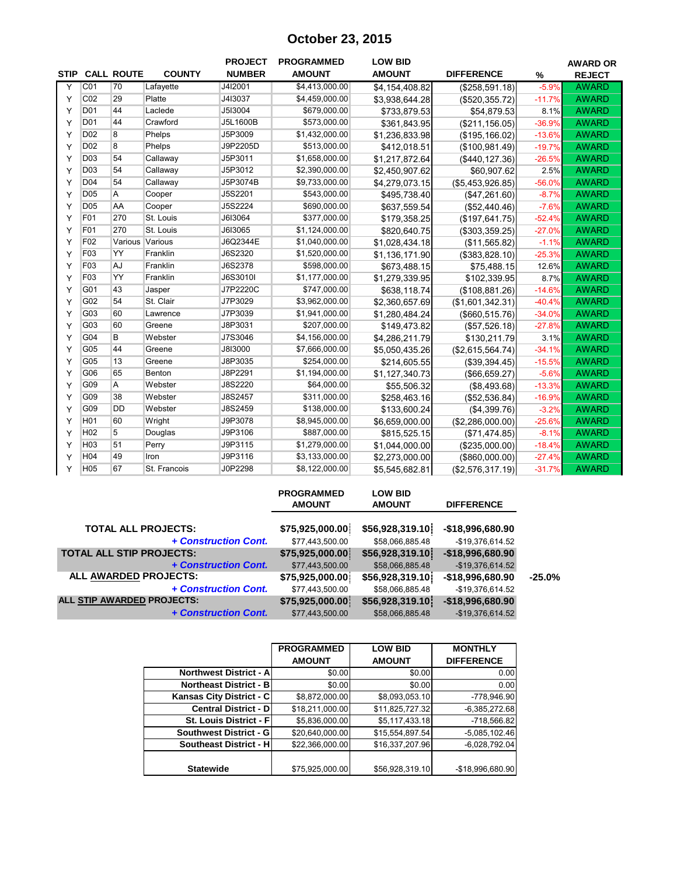### **October 23, 2015**

|             |                 |                   |               | <b>PROJECT</b> | <b>PROGRAMMED</b> | <b>LOW BID</b> |                   |          | <b>AWARD OR</b> |
|-------------|-----------------|-------------------|---------------|----------------|-------------------|----------------|-------------------|----------|-----------------|
| <b>STIP</b> |                 | <b>CALL ROUTE</b> | <b>COUNTY</b> | <b>NUMBER</b>  | <b>AMOUNT</b>     | <b>AMOUNT</b>  | <b>DIFFERENCE</b> | $\%$     | <b>REJECT</b>   |
| Y           | CO <sub>1</sub> | 70                | Lafayette     | J4I2001        | \$4,413,000.00    | \$4,154,408.82 | (\$258,591.18)    | $-5.9%$  | <b>AWARD</b>    |
| Y           | CO <sub>2</sub> | 29                | Platte        | J4I3037        | \$4,459,000.00    | \$3,938,644.28 | (\$520, 355.72)   | $-11.7%$ | <b>AWARD</b>    |
| Y           | D <sub>01</sub> | 44                | Laclede       | J5I3004        | \$679,000.00      | \$733,879.53   | \$54,879.53       | 8.1%     | <b>AWARD</b>    |
| Υ           | D <sub>01</sub> | 44                | Crawford      | J5L1600B       | \$573,000.00      | \$361,843.95   | (\$211, 156.05)   | $-36.9%$ | <b>AWARD</b>    |
| Y           | D <sub>02</sub> | 8                 | Phelps        | J5P3009        | \$1,432,000.00    | \$1,236,833.98 | (\$195, 166.02)   | $-13.6%$ | <b>AWARD</b>    |
| Y           | D <sub>02</sub> | 8                 | Phelps        | J9P2205D       | \$513,000.00      | \$412,018.51   | (\$100,981.49)    | $-19.7%$ | <b>AWARD</b>    |
| Y           | D <sub>03</sub> | 54                | Callaway      | J5P3011        | \$1,658,000.00    | \$1,217,872.64 | (\$440, 127.36)   | $-26.5%$ | <b>AWARD</b>    |
| Y           | D <sub>03</sub> | 54                | Callaway      | J5P3012        | \$2,390,000.00    | \$2,450,907.62 | \$60,907.62       | 2.5%     | <b>AWARD</b>    |
| Y           | D04             | 54                | Callaway      | J5P3074B       | \$9,733,000.00    | \$4,279,073.15 | (\$5,453,926.85)  | $-56.0%$ | <b>AWARD</b>    |
| Y           | D <sub>05</sub> | A                 | Cooper        | J5S2201        | \$543,000.00      | \$495,738.40   | (\$47,261.60)     | $-8.7%$  | <b>AWARD</b>    |
| Y           | D <sub>05</sub> | AA                | Cooper        | J5S2224        | \$690,000.00      | \$637,559.54   | (\$52,440.46)     | $-7.6%$  | <b>AWARD</b>    |
| Y           | F01             | 270               | St. Louis     | J6I3064        | \$377,000.00      | \$179,358.25   | (\$197,641.75)    | $-52.4%$ | <b>AWARD</b>    |
| Y           | F <sub>01</sub> | 270               | St. Louis     | J6I3065        | \$1,124,000.00    | \$820,640.75   | (\$303,359.25)    | $-27.0%$ | <b>AWARD</b>    |
| Y           | F <sub>02</sub> | Various Various   |               | J6Q2344E       | \$1,040,000.00    | \$1,028,434.18 | (\$11,565.82)     | $-1.1%$  | <b>AWARD</b>    |
| Y           | F03             | YY                | Franklin      | J6S2320        | \$1,520,000.00    | \$1,136,171.90 | (\$383,828.10)    | $-25.3%$ | <b>AWARD</b>    |
| Y           | F03             | AJ                | Franklin      | J6S2378        | \$598,000.00      | \$673,488.15   | \$75,488.15       | 12.6%    | <b>AWARD</b>    |
| Y           | F03             | YY                | Franklin      | J6S3010I       | \$1,177,000.00    | \$1,279,339.95 | \$102,339.95      | 8.7%     | <b>AWARD</b>    |
| Y           | G01             | 43                | Jasper        | J7P2220C       | \$747,000.00      | \$638,118.74   | (\$108,881.26)    | $-14.6%$ | <b>AWARD</b>    |
| Y           | G02             | 54                | St. Clair     | J7P3029        | \$3,962,000.00    | \$2,360,657.69 | (\$1,601,342.31)  | $-40.4%$ | <b>AWARD</b>    |
| Y           | G03             | 60                | Lawrence      | J7P3039        | \$1,941,000.00    | \$1,280,484.24 | ( \$660, 515.76)  | $-34.0%$ | <b>AWARD</b>    |
| Y           | G03             | 60                | Greene        | J8P3031        | \$207,000.00      | \$149,473.82   | (\$57,526.18)     | $-27.8%$ | <b>AWARD</b>    |
| Y           | G04             | B                 | Webster       | J7S3046        | \$4,156,000.00    | \$4,286,211.79 | \$130,211.79      | 3.1%     | <b>AWARD</b>    |
| Y           | G05             | 44                | Greene        | J8I3000        | \$7,666,000.00    | \$5,050,435.26 | (\$2,615,564.74)  | $-34.1%$ | <b>AWARD</b>    |
| Y           | G05             | 13                | Greene        | J8P3035        | \$254,000.00      | \$214,605.55   | (\$39,394.45)     | $-15.5%$ | <b>AWARD</b>    |
| Y           | G06             | 65                | Benton        | J8P2291        | \$1,194,000.00    | \$1,127,340.73 | (\$66,659.27)     | $-5.6%$  | <b>AWARD</b>    |
| Y           | G09             | Α                 | Webster       | J8S2220        | \$64,000.00       | \$55,506.32    | (\$8,493.68)      | $-13.3%$ | <b>AWARD</b>    |
| Y           | G <sub>09</sub> | 38                | Webster       | J8S2457        | \$311,000.00      | \$258,463.16   | (\$52,536.84)     | $-16.9%$ | <b>AWARD</b>    |
| Y           | G09             | <b>DD</b>         | Webster       | J8S2459        | \$138,000.00      | \$133,600.24   | (\$4,399.76)      | $-3.2%$  | <b>AWARD</b>    |
| Y           | H <sub>01</sub> | 60                | Wright        | J9P3078        | \$8,945,000.00    | \$6,659,000.00 | (\$2,286,000.00)  | $-25.6%$ | <b>AWARD</b>    |
| Y           | H <sub>02</sub> | 5                 | Douglas       | J9P3106        | \$887,000.00      | \$815,525.15   | (\$71,474.85)     | $-8.1%$  | <b>AWARD</b>    |
| Y           | H <sub>03</sub> | 51                | Perry         | J9P3115        | \$1,279,000.00    | \$1,044,000.00 | (\$235,000.00)    | $-18.4%$ | <b>AWARD</b>    |
| Y           | H04             | 49                | Iron          | J9P3116        | \$3,133,000.00    | \$2,273,000.00 | (\$860,000.00)    | $-27.4%$ | <b>AWARD</b>    |
| Y           | H <sub>05</sub> | 67                | St. Francois  | J0P2298        | \$8,122,000.00    | \$5,545,682.81 | (\$2,576,317.19)  | $-31.7%$ | <b>AWARD</b>    |

|                                 | <b>PROGRAMMED</b><br><b>AMOUNT</b> | <b>LOW BID</b><br><b>AMOUNT</b> | <b>DIFFERENCE</b> |
|---------------------------------|------------------------------------|---------------------------------|-------------------|
| <b>TOTAL ALL PROJECTS:</b>      | \$75,925,000.00                    | \$56,928,319.10                 | -\$18,996,680.90  |
| + Construction Cont.            | \$77,443,500.00                    | \$58,066,885.48                 | -\$19,376,614.52  |
| <b>TOTAL ALL STIP PROJECTS:</b> | \$75,925,000.00]                   | \$56,928,319.10]                | $-$18,996,680.90$ |
| + Construction Cont.            | \$77,443,500.00                    | \$58,066,885.48                 | $-$19,376,614.52$ |
| ALL AWARDED PROJECTS:           | \$75,925,000.00                    | \$56,928,319.10                 | -\$18,996,680.90  |
| + Construction Cont.            | \$77,443,500.00                    | \$58,066,885.48                 | -\$19,376,614.52  |
| ALL STIP AWARDED PROJECTS:      | \$75,925,000.00]                   | \$56,928,319.10                 | $-$18,996,680.90$ |
| + Construction Cont.            | \$77,443,500.00                    | \$58,066,885.48                 | $-$19,376,614.52$ |
|                                 |                                    |                                 |                   |

|                               | <b>PROGRAMMED</b> | <b>LOW BID</b>  | <b>MONTHLY</b>    |
|-------------------------------|-------------------|-----------------|-------------------|
|                               | <b>AMOUNT</b>     | <b>AMOUNT</b>   | <b>DIFFERENCE</b> |
| <b>Northwest District - A</b> | \$0.00            | \$0.00          | 0.00              |
| <b>Northeast District - B</b> | \$0.00            | \$0.00          | 0.00              |
| Kansas City District - C      | \$8,872,000.00    | \$8,093,053.10  | $-778,946.90$     |
| <b>Central District - D</b>   | \$18,211,000.00   | \$11,825,727.32 | $-6,385,272.68$   |
| St. Louis District - F        | \$5,836,000.00    | \$5,117,433.18  | $-718,566.82$     |
| <b>Southwest District - G</b> | \$20,640,000.00   | \$15,554,897.54 | $-5,085,102.46$   |
| <b>Southeast District - H</b> | \$22,366,000.00   | \$16,337,207.96 | $-6,028,792.04$   |
|                               |                   |                 |                   |
| <b>Statewide</b>              | \$75,925,000.00   | \$56,928,319.10 | $-$18,996,680.90$ |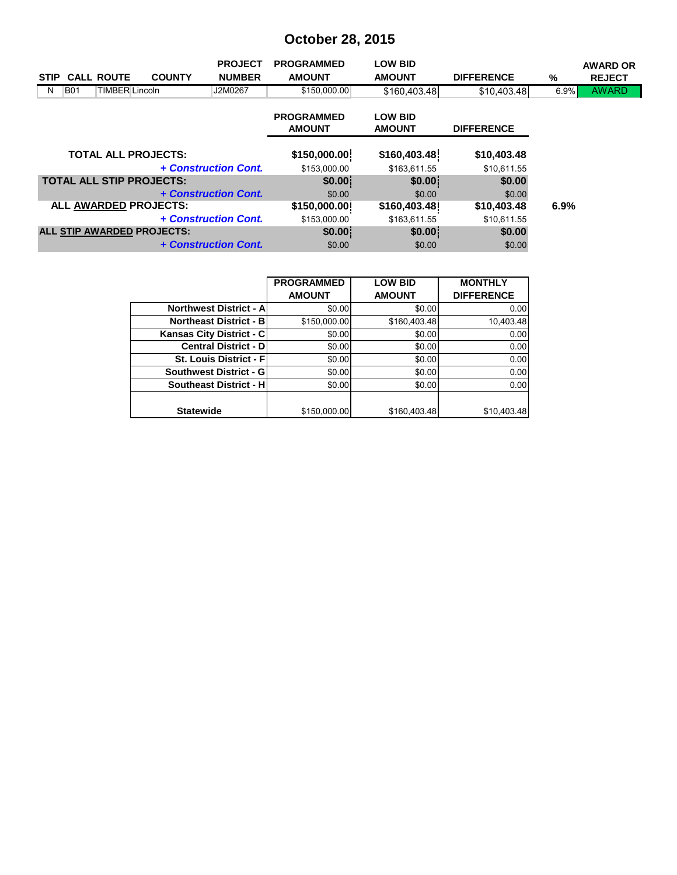# **October 28, 2015**

|                  |                                 |               | <b>PROJECT</b>       | <b>PROGRAMMED</b>                  | <b>LOW BID</b>                  |                   |         | <b>AWARD OR</b> |
|------------------|---------------------------------|---------------|----------------------|------------------------------------|---------------------------------|-------------------|---------|-----------------|
| <b>STIP</b>      | <b>CALL ROUTE</b>               | <b>COUNTY</b> | <b>NUMBER</b>        | <b>AMOUNT</b>                      | <b>AMOUNT</b>                   | <b>DIFFERENCE</b> | %       | <b>REJECT</b>   |
| <b>B01</b><br>N. | TIMBER Lincoln                  |               | J2M0267              | \$150,000.00                       | \$160,403.48                    | \$10,403.48       | $6.9\%$ | <b>AWARD</b>    |
|                  |                                 |               |                      | <b>PROGRAMMED</b><br><b>AMOUNT</b> | <b>LOW BID</b><br><b>AMOUNT</b> | <b>DIFFERENCE</b> |         |                 |
|                  | <b>TOTAL ALL PROJECTS:</b>      |               |                      | \$150,000.00                       | \$160,403.48                    | \$10,403.48       |         |                 |
|                  |                                 |               | + Construction Cont. | \$153,000.00                       | \$163,611.55                    | \$10,611.55       |         |                 |
|                  | <b>TOTAL ALL STIP PROJECTS:</b> |               |                      | \$0.00                             | \$0.00                          | \$0.00            |         |                 |
|                  |                                 |               | + Construction Cont. | \$0.00                             | \$0.00                          | \$0.00            |         |                 |
|                  | ALL AWARDED PROJECTS:           |               |                      | \$150,000.00                       | \$160,403.48                    | \$10,403.48       | 6.9%    |                 |
|                  |                                 |               | + Construction Cont. | \$153,000.00                       | \$163,611.55                    | \$10,611.55       |         |                 |
|                  | ALL STIP AWARDED PROJECTS:      |               |                      | \$0.00                             | \$0.00                          | \$0.00            |         |                 |
|                  |                                 |               | + Construction Cont. | \$0.00                             | \$0.00                          | \$0.00            |         |                 |

|                                 | <b>PROGRAMMED</b> | <b>LOW BID</b> | <b>MONTHLY</b>    |
|---------------------------------|-------------------|----------------|-------------------|
|                                 | <b>AMOUNT</b>     | <b>AMOUNT</b>  | <b>DIFFERENCE</b> |
| <b>Northwest District - All</b> | \$0.00            | \$0.00         | 0.00              |
| <b>Northeast District - B</b>   | \$150,000.00      | \$160,403.48   | 10,403.48         |
| Kansas City District - C        | \$0.00            | \$0.00         | 0.00              |
| <b>Central District - DI</b>    | \$0.00            | \$0.00         | 0.00              |
| <b>St. Louis District - Fl</b>  | \$0.00            | \$0.00         | 0.00              |
| <b>Southwest District - GI</b>  | \$0.00            | \$0.00         | 0.00              |
| <b>Southeast District - HI</b>  | \$0.00            | \$0.00         | 0.00              |
|                                 |                   |                |                   |
| <b>Statewide</b>                | \$150,000.00      | \$160,403.48   | \$10,403.48       |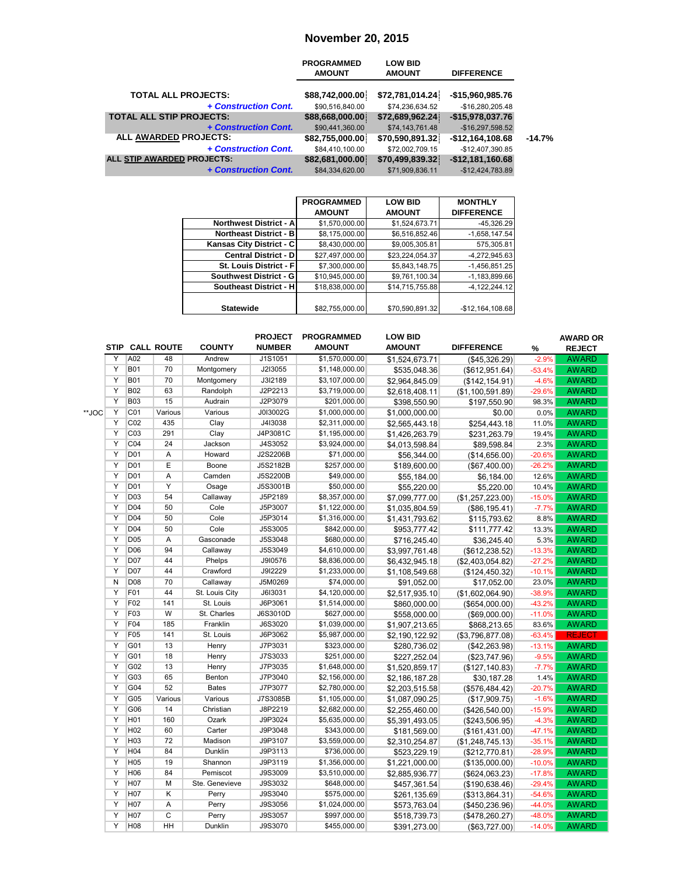### **November 20, 2015**

|                                 | <b>PROGRAMMED</b><br><b>AMOUNT</b> | <b>LOW BID</b><br><b>AMOUNT</b> | <b>DIFFERENCE</b> |          |
|---------------------------------|------------------------------------|---------------------------------|-------------------|----------|
| <b>TOTAL ALL PROJECTS:</b>      | \$88,742,000.00                    | \$72,781,014.24                 | -\$15,960,985.76  |          |
| + Construction Cont.            | \$90,516,840.00                    | \$74,236,634.52                 | $-$16,280,205.48$ |          |
| <b>TOTAL ALL STIP PROJECTS:</b> | \$88,668,000.00                    | \$72,689,962.24                 | $-$15,978,037.76$ |          |
| + Construction Cont.            | \$90,441,360.00                    | \$74,143,761.48                 | $-$16,297,598.52$ |          |
| ALL AWARDED PROJECTS:           | \$82,755,000.00                    | \$70,590,891.32                 | $-$12,164,108.68$ | $-14.7%$ |
| + Construction Cont.            | \$84,410,100.00                    | \$72,002,709.15                 | -\$12,407,390.85  |          |
| ALL STIP AWARDED PROJECTS:      | \$82,681,000.00                    | \$70,499,839.32                 | $-$12,181,160.68$ |          |
| + Construction Cont.            | \$84,334,620,00                    | \$71,909,836.11                 | $-$12,424,783.89$ |          |

|                                | <b>PROGRAMMED</b> | <b>LOW BID</b>  | <b>MONTHLY</b>    |
|--------------------------------|-------------------|-----------------|-------------------|
|                                | <b>AMOUNT</b>     | <b>AMOUNT</b>   | <b>DIFFERENCE</b> |
| <b>Northwest District - Al</b> | \$1,570,000.00    | \$1,524,673.71  | $-45,326.29$      |
| <b>Northeast District - B</b>  | \$8,175,000.00    | \$6,516,852.46  | $-1,658,147.54$   |
| Kansas City District - C       | \$8,430,000.00    | \$9,005,305.81  | 575.305.81        |
| <b>Central District - DI</b>   | \$27,497,000.00   | \$23,224,054.37 | $-4.272.945.63$   |
| St. Louis District - Fl        | \$7,300,000.00    | \$5,843,148.75  | $-1,456,851.25$   |
| Southwest District - G         | \$10.945.000.00   | \$9,761,100.34  | $-1.183.899.66$   |
| Southeast District - H         | \$18,838,000.00   | \$14,715,755.88 | $-4, 122, 244.12$ |
|                                |                   |                 |                   |
| <b>Statewide</b>               | \$82,755,000.00   | \$70,590,891.32 | $-$12,164,108.68$ |

|       |                                   |                 |                | <b>PROJECT</b> | <b>PROGRAMMED</b> | <b>LOW BID</b> |                      |          | <b>AWARD OR</b> |
|-------|-----------------------------------|-----------------|----------------|----------------|-------------------|----------------|----------------------|----------|-----------------|
|       |                                   | STIP CALL ROUTE | <b>COUNTY</b>  | <b>NUMBER</b>  | <b>AMOUNT</b>     | <b>AMOUNT</b>  | <b>DIFFERENCE</b>    | %        | <b>REJECT</b>   |
|       | A02<br>Υ                          | 48              | Andrew         | J1S1051        | \$1,570,000.00    | \$1,524,673.71 | (\$45,326.29)        | $-2.9%$  | <b>AWARD</b>    |
|       | Y<br><b>B01</b>                   | 70              | Montgomery     | J2I3055        | \$1,148,000.00    | \$535,048.36   | (\$612,951.64)       | $-53.4%$ | <b>AWARD</b>    |
|       | Υ<br><b>B01</b>                   | 70              | Montgomery     | J3I2189        | \$3,107,000.00    | \$2,964,845.09 | (\$142, 154.91)      | $-4.6%$  | <b>AWARD</b>    |
|       | Ÿ<br><b>B02</b>                   | 63              | Randolph       | J2P2213        | \$3,719,000.00    | \$2,618,408.11 | (\$1,100,591.89)     | $-29.6%$ | <b>AWARD</b>    |
|       | $\overline{Y}$<br><b>B03</b>      | 15              | Audrain        | J2P3079        | \$201,000.00      | \$398,550.90   | \$197,550.90         | 98.3%    | <b>AWARD</b>    |
| **JOC | C01<br>Υ                          | Various         | Various        | J0I3002G       | \$1,000,000.00    | \$1,000,000.00 | \$0.00               | 0.0%     | <b>AWARD</b>    |
|       | Y<br>CO <sub>2</sub>              | 435             | Clay           | J4I3038        | \$2,311,000.00    | \$2,565,443.18 | \$254,443.18         | 11.0%    | <b>AWARD</b>    |
|       | Ÿ<br>C <sub>03</sub>              | 291             | Clay           | J4P3081C       | \$1,195,000.00    | \$1,426,263.79 | \$231,263.79         | 19.4%    | <b>AWARD</b>    |
|       | Y<br>CO <sub>4</sub>              | 24              | Jackson        | J4S3052        | \$3,924,000.00    | \$4,013,598.84 | \$89,598.84          | 2.3%     | <b>AWARD</b>    |
|       | Y<br>D <sub>01</sub>              | A               | Howard         | J2S2206B       | \$71,000.00       | \$56,344.00    | (\$14,656.00)        | $-20.6%$ | <b>AWARD</b>    |
|       | Y<br>D <sub>01</sub>              | E               | Boone          | J5S2182B       | \$257,000.00      | \$189,600.00   | (\$67,400.00)        | $-26.2%$ | <b>AWARD</b>    |
|       | $\overline{Y}$<br>D <sub>01</sub> | $\overline{A}$  | Camden         | J5S2200B       | \$49,000.00       | \$55,184.00    | \$6,184.00           | 12.6%    | <b>AWARD</b>    |
|       | Y<br>D <sub>01</sub>              | Y               | Osage          | J5S3001B       | \$50,000.00       | \$55,220.00    | \$5,220.00           | 10.4%    | <b>AWARD</b>    |
|       | Y<br><b>D03</b>                   | 54              | Callaway       | J5P2189        | \$8,357,000.00    | \$7,099,777.00 | (\$1,257,223.00)     | $-15.0%$ | <b>AWARD</b>    |
|       | Υ<br>D <sub>04</sub>              | 50              | Cole           | J5P3007        | \$1,122,000.00    | \$1,035,804.59 | (\$86, 195.41)       | $-7.7%$  | <b>AWARD</b>    |
|       | Ÿ<br><b>D04</b>                   | 50              | Cole           | J5P3014        | \$1,316,000.00    | \$1,431,793.62 | \$115,793.62         | 8.8%     | <b>AWARD</b>    |
|       | Υ<br>D <sub>04</sub>              | 50              | Cole           | J5S3005        | \$842,000.00      | \$953,777.42   | \$111,777.42         | 13.3%    | <b>AWARD</b>    |
|       | Y<br>D <sub>05</sub>              | Α               | Gasconade      | J5S3048        | \$680,000.00      | \$716,245.40   | \$36,245.40          | 5.3%     | <b>AWARD</b>    |
|       | Ÿ<br>D <sub>06</sub>              | 94              | Callaway       | J5S3049        | \$4,610,000.00    | \$3,997,761.48 | (\$612, 238.52)      | $-13.3%$ | <b>AWARD</b>    |
|       | Y<br><b>D07</b>                   | 44              | Phelps         | J9I0576        | \$8,836,000.00    | \$6,432,945.18 | (\$2,403,054.82)     | $-27.2%$ | <b>AWARD</b>    |
|       | Υ<br><b>D07</b>                   | 44              | Crawford       | J9I2229        | \$1,233,000.00    | \$1,108,549.68 | (\$124,450.32)       | $-10.1%$ | <b>AWARD</b>    |
|       | N<br>D <sub>08</sub>              | 70              | Callaway       | J5M0269        | \$74,000.00       | \$91,052.00    | \$17,052.00          | 23.0%    | <b>AWARD</b>    |
|       | F01<br>Y                          | 44              | St. Louis City | J6I3031        | \$4,120,000.00    | \$2,517,935.10 | (\$1,602,064.90)     | $-38.9%$ | <b>AWARD</b>    |
|       | Y<br>F <sub>02</sub>              | 141             | St. Louis      | J6P3061        | \$1,514,000.00    | \$860,000.00   | (\$654,000.00)       | $-43.2%$ | <b>AWARD</b>    |
|       | Υ<br>F03                          | W               | St. Charles    | J6S3010D       | \$627,000.00      | \$558,000.00   | $($ \$69,000.00) $ $ | $-11.0%$ | <b>AWARD</b>    |
|       | F04<br>Y                          | 185             | Franklin       | J6S3020        | \$1,039,000.00    | \$1,907,213.65 | \$868,213.65         | 83.6%    | <b>AWARD</b>    |
|       | Ÿ<br>F <sub>05</sub>              | 141             | St. Louis      | J6P3062        | \$5,987,000.00    | \$2,190,122.92 | (\$3,796,877.08)     | $-63.4%$ | <b>REJECT</b>   |
|       | Υ<br>G01                          | 13              | Henry          | J7P3031        | \$323,000.00      | \$280,736.02   | (\$42,263.98)        | $-13.1%$ | <b>AWARD</b>    |
|       | Y<br>G01                          | 18              | Henry          | J7S3033        | \$251,000.00      | \$227,252.04   | (\$23,747.96)        | $-9.5%$  | <b>AWARD</b>    |
|       | G02<br>Y                          | 13              | Henry          | J7P3035        | \$1,648,000.00    | \$1,520,859.17 | (\$127, 140.83)      | $-7.7%$  | <b>AWARD</b>    |
|       | Y<br>G03                          | 65              | Benton         | J7P3040        | \$2,156,000.00    | \$2,186,187.28 | \$30,187.28          | 1.4%     | <b>AWARD</b>    |
|       | Υ<br>G04                          | 52              | <b>Bates</b>   | J7P3077        | \$2,780,000.00    | \$2,203,515.58 | (\$576,484.42)       | $-20.7%$ | <b>AWARD</b>    |
|       | G05<br>Υ                          | Various         | Various        | J7S3085B       | \$1,105,000.00    | \$1,087,090.25 | (\$17,909.75)        | $-1.6%$  | <b>AWARD</b>    |
|       | Ÿ<br>G06                          | 14              | Christian      | J8P2219        | \$2,682,000.00    | \$2,255,460.00 | (\$426,540.00)       | $-15.9%$ | <b>AWARD</b>    |
|       | Y<br>H <sub>01</sub>              | 160             | Ozark          | J9P3024        | \$5,635,000.00    | \$5,391,493.05 | (\$243,506.95)       | $-4.3%$  | <b>AWARD</b>    |
|       | Y<br>H <sub>02</sub>              | 60              | Carter         | J9P3048        | \$343,000.00      | \$181,569.00   | (\$161,431.00)       | $-47.1%$ | <b>AWARD</b>    |
|       | Y<br>H <sub>03</sub>              | 72              | Madison        | J9P3107        | \$3,559,000.00    | \$2,310,254.87 | (S1, 248, 745.13)    | $-35.1%$ | <b>AWARD</b>    |
|       | $\overline{Y}$<br>H <sub>04</sub> | 84              | Dunklin        | J9P3113        | \$736,000.00      | \$523,229.19   | (\$212,770.81)       | $-28.9%$ | <b>AWARD</b>    |
|       | Υ<br>H <sub>05</sub>              | 19              | Shannon        | J9P3119        | \$1,356,000.00    | \$1,221,000.00 | (\$135,000.00)       | $-10.0%$ | <b>AWARD</b>    |
|       | Y<br>H <sub>06</sub>              | 84              | Pemiscot       | J9S3009        | \$3,510,000.00    | \$2,885,936.77 | ( \$624, 063.23)     | $-17.8%$ | <b>AWARD</b>    |
|       | H07<br>Y                          | M               | Ste. Genevieve | J9S3032        | \$648,000.00      | \$457,361.54   | (\$190,638.46)       | $-29.4%$ | <b>AWARD</b>    |
|       | Y<br>H <sub>07</sub>              | Κ               | Perry          | J9S3040        | \$575,000.00      | \$261,135.69   | (\$313,864.31)       | $-54.6%$ | <b>AWARD</b>    |
|       | Υ<br>H <sub>07</sub>              | $\overline{A}$  | Perry          | J9S3056        | \$1,024,000.00    | \$573,763.04   | (\$450, 236.96)      | $-44.0%$ | <b>AWARD</b>    |
|       | H <sub>07</sub><br>Υ              | $\overline{C}$  | Perry          | J9S3057        | \$997,000.00      | \$518,739.73   | (\$478,260.27)       | $-48.0%$ | <b>AWARD</b>    |
|       | Y<br>H <sub>08</sub>              | HH              | Dunklin        | J9S3070        | \$455,000.00      | \$391,273.00   | (\$63,727.00)        | $-14.0%$ | <b>AWARD</b>    |
|       |                                   |                 |                |                |                   |                |                      |          |                 |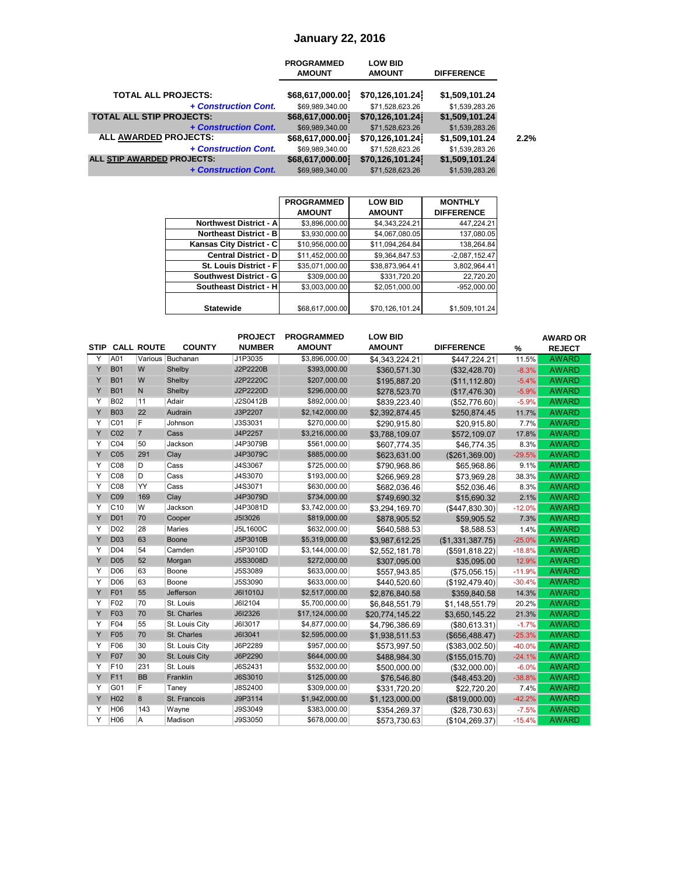### **January 22, 2016**

|                                   | <b>PROGRAMMED</b><br><b>AMOUNT</b> | <b>LOW BID</b><br><b>AMOUNT</b> | <b>DIFFERENCE</b> |      |
|-----------------------------------|------------------------------------|---------------------------------|-------------------|------|
| <b>TOTAL ALL PROJECTS:</b>        | \$68,617,000.00                    | \$70,126,101.24                 | \$1,509,101.24    |      |
| + Construction Cont.              | \$69,989,340.00                    | \$71,528,623.26                 | \$1,539,283.26    |      |
| <b>TOTAL ALL STIP PROJECTS:</b>   | \$68,617,000.00                    | \$70,126,101.24                 | \$1,509,101.24    |      |
| + Construction Cont.              | \$69,989,340.00                    | \$71,528,623.26                 | \$1,539,283.26    |      |
| ALL AWARDED PROJECTS:             | \$68,617,000.00                    | \$70,126,101.24                 | \$1,509,101.24    | 2.2% |
| + Construction Cont.              | \$69,989,340.00                    | \$71,528,623.26                 | \$1,539,283.26    |      |
| <b>ALL STIP AWARDED PROJECTS:</b> | \$68,617,000.00                    | \$70,126,101.24                 | \$1,509,101.24    |      |
| + Construction Cont.              | \$69,989,340.00                    | \$71,528,623.26                 | \$1,539,283.26    |      |
|                                   |                                    |                                 |                   |      |

|                               | <b>PROGRAMMED</b> | <b>LOW BID</b>  | <b>MONTHLY</b>    |
|-------------------------------|-------------------|-----------------|-------------------|
|                               | <b>AMOUNT</b>     | <b>AMOUNT</b>   | <b>DIFFERENCE</b> |
| <b>Northwest District - A</b> | \$3,896,000.00    | \$4,343,224.21  | 447.224.21        |
| <b>Northeast District - B</b> | \$3,930,000.00    | \$4,067,080.05  | 137,080.05        |
| Kansas City District - C      | \$10,956,000.00   | \$11,094,264.84 | 138.264.84        |
| <b>Central District - D</b>   | \$11,452,000.00   | \$9,364,847.53  | $-2,087,152.47$   |
| St. Louis District - F        | \$35,071,000.00   | \$38,873,964.41 | 3,802,964.41      |
| <b>Southwest District - G</b> | \$309,000.00      | \$331,720.20    | 22,720.20         |
| Southeast District - H        | \$3,003,000.00    | \$2,051,000.00  | $-952.000.00$     |
|                               |                   |                 |                   |
| <b>Statewide</b>              | \$68,617,000.00   | \$70,126,101.24 | \$1,509,101.24    |

|             |                 |                   |                  | <b>PROJECT</b> | <b>PROGRAMMED</b> | <b>LOW BID</b>  |                   |          | <b>AWARD OR</b> |
|-------------|-----------------|-------------------|------------------|----------------|-------------------|-----------------|-------------------|----------|-----------------|
| <b>STIP</b> |                 | <b>CALL ROUTE</b> | <b>COUNTY</b>    | <b>NUMBER</b>  | <b>AMOUNT</b>     | <b>AMOUNT</b>   | <b>DIFFERENCE</b> | %        | <b>REJECT</b>   |
| Y           | A01             |                   | Various Buchanan | J1P3035        | \$3,896,000.00    | \$4,343,224.21  | \$447,224.21      | 11.5%    | <b>AWARD</b>    |
| Y           | <b>B01</b>      | W                 | Shelby           | J2P2220B       | \$393,000.00      | \$360,571.30    | (\$32,428.70)     | $-8.3%$  | <b>AWARD</b>    |
| Y           | <b>B01</b>      | W                 | Shelby           | J2P2220C       | \$207,000.00      | \$195,887.20    | (\$11,112.80)     | $-5.4%$  | <b>AWARD</b>    |
| Y           | <b>B01</b>      | ${\sf N}$         | Shelby           | J2P2220D       | \$296,000.00      | \$278,523.70    | (\$17,476.30)     | $-5.9%$  | <b>AWARD</b>    |
| Y           | <b>B02</b>      | 11                | Adair            | J2S0412B       | \$892,000.00      | \$839,223.40    | (\$52,776.60)     | $-5.9%$  | <b>AWARD</b>    |
| Y           | <b>B03</b>      | 22                | Audrain          | J3P2207        | \$2,142,000.00    | \$2,392,874.45  | \$250,874.45      | 11.7%    | <b>AWARD</b>    |
| Y           | CO <sub>1</sub> | F                 | Johnson          | J3S3031        | \$270,000.00      | \$290,915.80    | \$20,915.80       | 7.7%     | <b>AWARD</b>    |
| Y           | CO <sub>2</sub> | $\overline{7}$    | Cass             | J4P2257        | \$3,216,000.00    | \$3,788,109.07  | \$572,109.07      | 17.8%    | <b>AWARD</b>    |
| Y           | CO <sub>4</sub> | 50                | Jackson          | J4P3079B       | \$561,000.00      | \$607,774.35    | \$46,774.35       | 8.3%     | <b>AWARD</b>    |
| Y           | CO <sub>5</sub> | 291               | Clay             | J4P3079C       | \$885,000.00      | \$623,631.00    | (\$261,369.00)    | $-29.5%$ | <b>AWARD</b>    |
| Υ           | C <sub>08</sub> | D                 | Cass             | J4S3067        | \$725,000.00      | \$790,968.86    | \$65,968.86       | 9.1%     | <b>AWARD</b>    |
| Y           | C <sub>08</sub> | D                 | Cass             | J4S3070        | \$193,000.00      | \$266,969.28    | \$73,969.28       | 38.3%    | <b>AWARD</b>    |
| Y           | C <sub>08</sub> | YY                | Cass             | J4S3071        | \$630,000.00      | \$682,036.46    | \$52,036.46       | 8.3%     | <b>AWARD</b>    |
| Y           | C <sub>09</sub> | 169               | Clay             | J4P3079D       | \$734,000.00      | \$749,690.32    | \$15,690.32       | 2.1%     | <b>AWARD</b>    |
| Y           | C <sub>10</sub> | W                 | Jackson          | J4P3081D       | \$3,742,000.00    | \$3,294,169.70  | (\$447, 830.30)   | $-12.0%$ | <b>AWARD</b>    |
| Y           | D <sub>01</sub> | 70                | Cooper           | J513026        | \$819,000.00      | \$878,905.52    | \$59,905.52       | 7.3%     | <b>AWARD</b>    |
| Y           | D <sub>02</sub> | 28                | Maries           | J5L1600C       | \$632,000.00      | \$640,588.53    | \$8,588.53        | 1.4%     | <b>AWARD</b>    |
| Y           | <b>D03</b>      | 63                | <b>Boone</b>     | J5P3010B       | \$5,319,000.00    | \$3,987,612.25  | (\$1,331,387.75)  | $-25.0%$ | <b>AWARD</b>    |
| Y           | D04             | 54                | Camden           | J5P3010D       | \$3,144,000.00    | \$2,552,181.78  | (\$591, 818.22)   | $-18.8%$ | <b>AWARD</b>    |
| Y           | <b>D05</b>      | 52                | Morgan           | J5S3008D       | \$272,000.00      | \$307,095.00    | \$35,095.00       | 12.9%    | <b>AWARD</b>    |
| Y           | D <sub>06</sub> | 63                | Boone            | J5S3089        | \$633,000.00      | \$557,943.85    | (\$75,056.15)     | $-11.9%$ | <b>AWARD</b>    |
| Y           | D <sub>06</sub> | 63                | Boone            | <b>J5S3090</b> | \$633,000.00      | \$440,520.60    | (\$192,479.40)    | $-30.4%$ | <b>AWARD</b>    |
| Y           | F01             | 55                | Jefferson        | J6I1010J       | \$2,517,000.00    | \$2,876,840.58  | \$359,840.58      | 14.3%    | <b>AWARD</b>    |
| Y           | F02             | 70                | St. Louis        | J6I2104        | \$5,700,000.00    | \$6,848,551.79  | \$1,148,551.79    | 20.2%    | <b>AWARD</b>    |
| Y           | F03             | 70                | St. Charles      | J6I2326        | \$17,124,000.00   | \$20,774,145.22 | \$3,650,145.22    | 21.3%    | <b>AWARD</b>    |
| Y           | F04             | 55                | St. Louis City   | J6I3017        | \$4,877,000.00    | \$4,796,386.69  | (\$80,613.31)     | $-1.7%$  | <b>AWARD</b>    |
| Y           | F05             | 70                | St. Charles      | J6I3041        | \$2,595,000.00    | \$1,938,511.53  | (\$656,488.47)    | $-25.3%$ | <b>AWARD</b>    |
| Y           | F06             | 30                | St. Louis City   | J6P2289        | \$957,000.00      | \$573,997.50    | (\$383,002.50)    | $-40.0%$ | <b>AWARD</b>    |
| Y           | F07             | 30                | St. Louis City   | J6P2290        | \$644,000.00      | \$488,984.30    | (\$155,015.70)    | $-24.1%$ | <b>AWARD</b>    |
| Y           | F10             | 231               | St. Louis        | J6S2431        | \$532,000.00      | \$500,000.00    | (\$32,000.00)     | $-6.0\%$ | <b>AWARD</b>    |
| Y           | F11             | <b>BB</b>         | Franklin         | J6S3010        | \$125,000.00      | \$76,546.80     | (\$48,453.20)     | $-38.8%$ | <b>AWARD</b>    |
| Y           | G01             | F                 | Taney            | J8S2400        | \$309,000.00      | \$331,720.20    | \$22,720.20       | 7.4%     | <b>AWARD</b>    |
| Y           | H <sub>02</sub> | 8                 | St. Francois     | J9P3114        | \$1,942,000.00    | \$1,123,000.00  | (\$819,000.00)    | $-42.2%$ | <b>AWARD</b>    |
| Y           | H06             | 143               | Wayne            | J9S3049        | \$383,000.00      | \$354,269.37    | (\$28,730.63)     | $-7.5%$  | <b>AWARD</b>    |
| Y           | <b>H06</b>      | A                 | Madison          | J9S3050        | \$678,000.00      | \$573,730.63    | (\$104, 269.37)   | $-15.4%$ | <b>AWARD</b>    |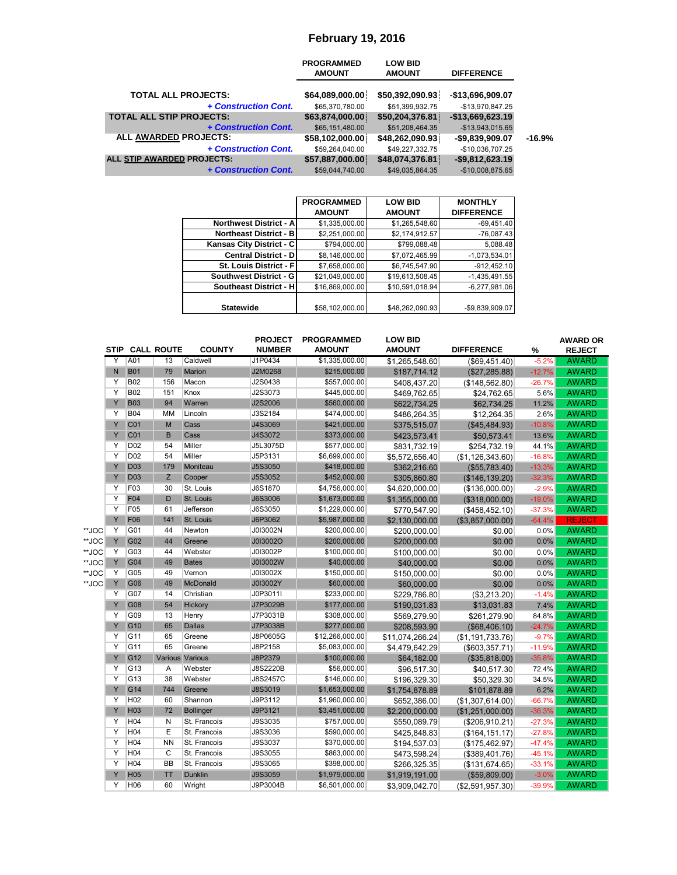### **February 19, 2016**

|                                 | <b>PROGRAMMED</b><br><b>AMOUNT</b> | <b>LOW BID</b><br><b>AMOUNT</b> | <b>DIFFERENCE</b> |          |
|---------------------------------|------------------------------------|---------------------------------|-------------------|----------|
| <b>TOTAL ALL PROJECTS:</b>      | \$64,089,000.00                    | \$50,392,090.93                 | -\$13,696,909.07  |          |
| + Construction Cont.            | \$65,370,780.00                    | \$51,399,932.75                 | -\$13,970,847.25  |          |
| <b>TOTAL ALL STIP PROJECTS:</b> | \$63,874,000.00                    | \$50,204,376.81                 | $-$13,669,623.19$ |          |
| + Construction Cont.            | \$65,151,480.00                    | \$51,208,464.35                 | $-$13,943,015.65$ |          |
| <b>ALL AWARDED PROJECTS:</b>    | \$58,102,000.00]                   | \$48,262,090.93                 | -\$9,839,909.07   | $-16.9%$ |
| + Construction Cont.            | \$59,264,040.00                    | \$49,227,332.75                 | -\$10,036,707.25  |          |
| ALL STIP AWARDED PROJECTS:      | \$57,887,000.00                    | \$48,074,376.81                 | $-$9,812,623.19$  |          |
| + Construction Cont.            | \$59,044,740.00                    | \$49,035,864.35                 | $-$10,008,875.65$ |          |

|                               | <b>PROGRAMMED</b> | <b>LOW BID</b>  | <b>MONTHLY</b>    |
|-------------------------------|-------------------|-----------------|-------------------|
|                               | <b>AMOUNT</b>     | <b>AMOUNT</b>   | <b>DIFFERENCE</b> |
| Northwest District - A        | \$1,335,000.00    | \$1,265,548.60  | $-69,451.40$      |
| <b>Northeast District - B</b> | \$2,251,000.00    | \$2,174,912.57  | $-76,087.43$      |
| Kansas City District - C      | \$794,000.00      | \$799,088.48    | 5,088.48          |
| <b>Central District - D</b>   | \$8,146,000.00    | \$7,072,465.99  | $-1,073,534.01$   |
| St. Louis District - Fl       | \$7,658,000.00    | \$6,745,547.90  | $-912,452.10$     |
| <b>Southwest District - G</b> | \$21,049,000.00   | \$19,613,508.45 | $-1,435,491.55$   |
| Southeast District - H        | \$16,869,000.00   | \$10,591,018.94 | $-6,277,981.06$   |
|                               |                   |                 |                   |
| <b>Statewide</b>              | \$58,102,000.00   | \$48,262,090.93 | -\$9,839,909.07   |

|       | <b>STIP</b> |                 | <b>CALL ROUTE</b> | <b>COUNTY</b>    | <b>PROJECT</b><br><b>NUMBER</b> | <b>PROGRAMMED</b><br><b>AMOUNT</b> | <b>LOW BID</b><br><b>AMOUNT</b> | <b>DIFFERENCE</b> | %        | <b>AWARD OR</b><br><b>REJECT</b> |
|-------|-------------|-----------------|-------------------|------------------|---------------------------------|------------------------------------|---------------------------------|-------------------|----------|----------------------------------|
|       | Y           | A01             | 13                | Caldwell         | J1P0434                         | \$1,335,000.00                     | \$1,265,548.60                  | (\$69,451.40)     | $-5.2%$  | <b>AWARD</b>                     |
|       | $\mathsf N$ | <b>B01</b>      | 79                | Marion           | J2M0268                         | \$215,000.00                       | \$187,714.12                    | (\$27,285.88)     | $-12.7%$ | <b>AWARD</b>                     |
|       | Υ           | <b>B02</b>      | 156               | Macon            | J2S0438                         | \$557,000.00                       | \$408,437.20                    | (\$148,562.80)    | $-26.7%$ | <b>AWARD</b>                     |
|       | Y           | <b>B02</b>      | 151               | Knox             | J2S3073                         | \$445,000.00                       | \$469,762.65                    | \$24,762.65       | 5.6%     | <b>AWARD</b>                     |
|       | Y           | <b>B03</b>      | 94                | Warren           | J2S2006                         | \$560,000.00                       | \$622,734.25                    | \$62,734.25       | 11.2%    | <b>AWARD</b>                     |
|       | Υ           | <b>B04</b>      | MM                | Lincoln          | J3S2184                         | \$474,000.00                       | \$486,264.35                    | \$12,264.35       | 2.6%     | <b>AWARD</b>                     |
|       | Y           | C <sub>01</sub> | M                 | Cass             | J4S3069                         | \$421,000.00                       | \$375,515.07                    | (\$45,484.93)     | $-10.8%$ | <b>AWARD</b>                     |
|       | Y           | C01             | B                 | Cass             | J4S3072                         | \$373,000.00                       | \$423,573.41                    | \$50,573.41       | 13.6%    | <b>AWARD</b>                     |
|       | Y           | D <sub>02</sub> | 54                | Miller           | J5L3075D                        | \$577,000.00                       | \$831,732.19                    | \$254,732.19      | 44.1%    | <b>AWARD</b>                     |
|       | Υ           | D <sub>02</sub> | 54                | Miller           | J5P3131                         | \$6,699,000.00                     | \$5,572,656.40                  | (\$1,126,343.60)  | $-16.8%$ | <b>AWARD</b>                     |
|       | Y           | <b>D03</b>      | 179               | Moniteau         | <b>J5S3050</b>                  | \$418,000.00                       | \$362,216.60                    | (\$55,783.40)     | $-13.3%$ | <b>AWARD</b>                     |
|       | Y           | <b>D03</b>      | Z                 | Cooper           | J5S3052                         | \$452,000.00                       | \$305,860.80                    | (\$146, 139.20)   | $-32.3%$ | <b>AWARD</b>                     |
|       | Υ           | F03             | 30                | St. Louis        | J6S1870                         | \$4,756,000.00                     | \$4,620,000.00                  | (\$136,000.00)    | $-2.9%$  | <b>AWARD</b>                     |
|       | Υ           | F04             | D                 | St. Louis        | <b>J6S3006</b>                  | \$1,673,000.00                     | \$1,355,000.00                  | (\$318,000.00)    | $-19.0%$ | <b>AWARD</b>                     |
|       | Y           | F05             | 61                | Jefferson        | J6S3050                         | \$1,229,000.00                     | \$770,547.90                    | (\$458, 452.10)   | $-37.3%$ | <b>AWARD</b>                     |
|       | Y           | F06             | 141               | St. Louis        | J6P3062                         | \$5,987,000.00                     | \$2,130,000.00                  | (\$3,857,000.00)  | $-64.4%$ | <b>REJECT</b>                    |
| **JOC | Υ           | G01             | 44                | Newton           | J0I3002N                        | \$200,000.00                       | \$200,000.00                    | \$0.00            | 0.0%     | <b>AWARD</b>                     |
| **JOC | Y           | G02             | 44                | Greene           | J0I3002O                        | \$200,000.00                       | \$200,000.00                    | \$0.00            | 0.0%     | <b>AWARD</b>                     |
| **JOC | Υ           | G03             | 44                | Webster          | J0I3002P                        | \$100,000.00                       | \$100,000.00                    | \$0.00            | 0.0%     | <b>AWARD</b>                     |
| **JOC | Y           | G04             | 49                | <b>Bates</b>     | J0I3002W                        | \$40,000.00                        | \$40,000.00                     | \$0.00            | 0.0%     | <b>AWARD</b>                     |
| **JOC | Υ           | G <sub>05</sub> | 49                | Vernon           | J0I3002X                        | \$150,000.00                       | \$150,000.00                    | \$0.00            | 0.0%     | <b>AWARD</b>                     |
| **JOC | Y           | G06             | 49                | <b>McDonald</b>  | J0I3002Y                        | \$60,000.00                        | \$60,000.00                     | \$0.00            | 0.0%     | <b>AWARD</b>                     |
|       | Y           | G07             | 14                | Christian        | J0P3011I                        | \$233,000.00                       | \$229,786.80                    | (\$3,213.20)      | $-1.4%$  | <b>AWARD</b>                     |
|       | Y           | G08             | 54                | Hickory          | J7P3029B                        | \$177,000.00                       | \$190,031.83                    | \$13,031.83       | 7.4%     | <b>AWARD</b>                     |
|       | Υ           | G09             | 13                | Henry            | J7P3031B                        | \$308,000.00                       | \$569,279.90                    | \$261,279.90      | 84.8%    | <b>AWARD</b>                     |
|       | Y           | G10             | 65                | <b>Dallas</b>    | J7P3038B                        | \$277,000.00                       | \$208,593.90                    | (\$68,406.10)     | $-24.7%$ | <b>AWARD</b>                     |
|       | Y           | G11             | 65                | Greene           | J8P0605G                        | \$12,266,000.00                    | \$11,074,266.24                 | (\$1,191,733.76)  | $-9.7%$  | <b>AWARD</b>                     |
|       | Υ           | G11             | 65                | Greene           | J8P2158                         | \$5,083,000.00                     | \$4,479,642.29                  | ( \$603, 357.71)  | $-11.9%$ | <b>AWARD</b>                     |
|       | Y           | G12             |                   | Various Various  | J8P2379                         | \$100,000.00                       | \$64,182.00                     | (\$35,818.00)     | $-35.8%$ | <b>AWARD</b>                     |
|       | Y           | G13             | Α                 | Webster          | <b>J8S2220B</b>                 | \$56,000.00                        | \$96,517.30                     | \$40,517.30       | 72.4%    | <b>AWARD</b>                     |
|       | Y           | G13             | 38                | Webster          | J8S2457C                        | \$146,000.00                       | \$196,329.30                    | \$50,329.30       | 34.5%    | <b>AWARD</b>                     |
|       | Y           | G14             | 744               | Greene           | J8S3019                         | \$1,653,000.00                     | \$1,754,878.89                  | \$101,878.89      | 6.2%     | <b>AWARD</b>                     |
|       | Y           | H <sub>02</sub> | 60                | Shannon          | J9P3112                         | \$1,960,000.00                     | \$652,386.00                    | (\$1,307,614.00)  | $-66.7%$ | <b>AWARD</b>                     |
|       | Y           | H <sub>03</sub> | 72                | <b>Bollinger</b> | J9P3121                         | \$3,451,000.00                     | \$2,200,000.00                  | (\$1,251,000.00)  | $-36.3%$ | <b>AWARD</b>                     |
|       | Υ           | H <sub>04</sub> | N                 | St. Francois     | J9S3035                         | \$757,000.00                       | \$550,089.79                    | (\$206,910.21)    | $-27.3%$ | <b>AWARD</b>                     |
|       | Υ           | H <sub>04</sub> | E                 | St. Francois     | J9S3036                         | \$590,000.00                       | \$425,848.83                    | (\$164, 151.17)   | $-27.8%$ | <b>AWARD</b>                     |
|       | Y           | H04             | <b>NN</b>         | St. Francois     | J9S3037                         | \$370,000.00                       | \$194,537.03                    | (\$175,462.97)    | $-47.4%$ | <b>AWARD</b>                     |
|       | Y           | H <sub>04</sub> | $\overline{C}$    | St. Francois     | J9S3055                         | \$863,000.00                       | \$473,598.24                    | $($ \$389,401.76) | $-45.1%$ | <b>AWARD</b>                     |
|       | Υ           | H04             | <b>BB</b>         | St. Francois     | J9S3065                         | \$398,000.00                       | \$266,325.35                    | (\$131,674.65)    | $-33.1%$ | <b>AWARD</b>                     |
|       | Y           | H <sub>05</sub> | TT                | <b>Dunklin</b>   | J9S3059                         | \$1,979,000.00                     | \$1,919,191.00                  | (\$59,809.00)     | $-3.0%$  | <b>AWARD</b>                     |
|       | Y           | H <sub>06</sub> | 60                | Wright           | J9P3004B                        | \$6,501,000.00                     | \$3,909,042.70                  | (\$2.591.957.30)  | $-39.9%$ | <b>AWARD</b>                     |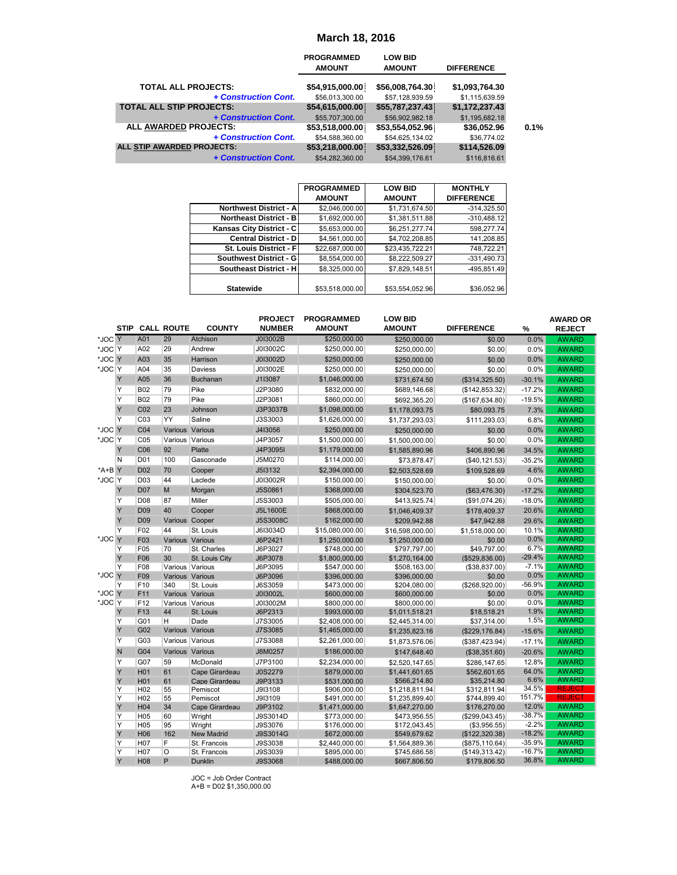|                                 | <b>PROGRAMMED</b> | <b>LOW BID</b>  |                   |
|---------------------------------|-------------------|-----------------|-------------------|
|                                 | <b>AMOUNT</b>     | <b>AMOUNT</b>   | <b>DIFFERENCE</b> |
| <b>TOTAL ALL PROJECTS:</b>      | \$54,915,000.00   | \$56,008,764.30 | \$1,093,764.30    |
| + Construction Cont.            | \$56,013,300.00   | \$57,128,939.59 | \$1,115,639.59    |
| <b>TOTAL ALL STIP PROJECTS:</b> | \$54,615,000.00   | \$55,787,237.43 | \$1,172,237.43    |
| + Construction Cont.            | \$55,707,300.00   | \$56,902,982.18 | \$1,195,682.18    |
| <b>ALL AWARDED PROJECTS:</b>    | \$53,518,000.00   | \$53,554,052.96 | \$36,052.96       |
| + Construction Cont.            | \$54,588,360.00   | \$54,625,134.02 | \$36,774.02       |
| ALL STIP AWARDED PROJECTS:      | \$53,218,000.00   | \$53,332,526.09 | \$114,526.09      |
| + Construction Cont.            | \$54,282,360.00   | \$54,399,176.61 | \$116,816,61      |

|                               | <b>PROGRAMMED</b> | <b>LOW BID</b>  | <b>MONTHLY</b>    |
|-------------------------------|-------------------|-----------------|-------------------|
|                               | <b>AMOUNT</b>     | <b>AMOUNT</b>   | <b>DIFFERENCE</b> |
| <b>Northwest District - A</b> | \$2,046,000.00    | \$1,731,674.50  | $-314.325.50$     |
| <b>Northeast District - B</b> | \$1,692,000.00    | \$1,381,511.88  | $-310,488.12$     |
| Kansas City District - C      | \$5.653.000.00    | \$6,251,277,74  | 598.277.74        |
| <b>Central District - D</b>   | \$4,561,000.00    | \$4,702,208.85  | 141,208.85        |
| St. Louis District - Fl       | \$22,687,000.00   | \$23.435.722.21 | 748.722.21        |
| Southwest District - G        | \$8,554,000.00    | \$8,222,509.27  | $-331.490.73$     |
| Southeast District - H        | \$8,325,000.00    | \$7,829,148.51  | -495.851.49       |
|                               |                   |                 |                   |
| <b>Statewide</b>              | \$53,518,000.00   | \$53,554,052.96 | \$36.052.96       |

|                  |           |                                     |                                    |                                |                                                                | <b>March 18, 2016</b>              |                                    |                                  |                      |                                |
|------------------|-----------|-------------------------------------|------------------------------------|--------------------------------|----------------------------------------------------------------|------------------------------------|------------------------------------|----------------------------------|----------------------|--------------------------------|
|                  |           |                                     |                                    |                                |                                                                | <b>PROGRAMMED</b><br><b>AMOUNT</b> | <b>LOW BID</b><br>AMOUNT           | <b>DIFFERENCE</b>                |                      |                                |
|                  |           |                                     |                                    | <b>TOTAL ALL PROJECTS:</b>     | + Construction Cont.                                           | \$54,915,000.00<br>\$56,013,300.00 | \$56,008,764.30<br>\$57,128,939.59 | \$1,093,764.30<br>\$1,115,639.59 |                      |                                |
|                  |           |                                     |                                    | TOTAL ALL STIP PROJECTS:       |                                                                | \$54,615,000.00                    | \$55,787,237.43                    | \$1,172,237.43                   |                      |                                |
|                  |           |                                     |                                    |                                | + Construction Cont.                                           | \$55,707,300.00                    | \$56,902,982.18                    | \$1,195,682.18                   |                      |                                |
|                  |           |                                     |                                    | ALL AWARDED PROJECTS:          | + Construction Cont.                                           | \$53,518,000.00<br>\$54,588,360.00 | \$53,554,052.96<br>\$54,625,134.02 | \$36,052.96<br>\$36,774.02       | 0.1%                 |                                |
|                  |           |                                     |                                    | ALL STIP AWARDED PROJECTS:     |                                                                | \$53,218,000.00                    | \$53,332,526.09                    | \$114,526.09                     |                      |                                |
|                  |           |                                     |                                    |                                | + Construction Cont.                                           | \$54,282,360.00                    | \$54,399,176.61                    | \$116,816.61                     |                      |                                |
|                  |           |                                     |                                    |                                |                                                                |                                    |                                    |                                  |                      |                                |
|                  |           |                                     |                                    |                                |                                                                | <b>PROGRAMMED</b>                  | <b>LOW BID</b>                     | <b>MONTHLY</b>                   |                      |                                |
|                  |           |                                     |                                    |                                |                                                                | <b>AMOUNT</b>                      | <b>AMOUNT</b>                      | <b>DIFFERENCE</b>                |                      |                                |
|                  |           |                                     |                                    |                                | <b>Northwest District - A</b><br><b>Northeast District - B</b> | \$2,046,000.00                     | \$1,731,674.50                     | $-314,325.50$<br>$-310,488.12$   |                      |                                |
|                  |           |                                     |                                    |                                | Kansas City District - C                                       | \$1,692,000.00<br>\$5,653,000.00   | \$1,381,511.88<br>\$6,251,277.74   | 598,277.74                       |                      |                                |
|                  |           |                                     |                                    |                                | <b>Central District - D</b>                                    | \$4,561,000.00                     | \$4,702,208.85                     | 141,208.85                       |                      |                                |
|                  |           |                                     |                                    |                                | St. Louis District - F                                         | \$22,687,000.00                    | \$23,435,722.21                    | 748,722.21                       |                      |                                |
|                  |           |                                     |                                    |                                | <b>Southwest District - G</b>                                  | \$8,554,000.00                     | \$8,222,509.27                     | $-331,490.73$                    |                      |                                |
|                  |           |                                     |                                    |                                | <b>Southeast District - H</b>                                  | \$8,325,000.00                     | \$7,829,148.51                     | -495,851.49                      |                      |                                |
|                  |           |                                     |                                    | <b>Statewide</b>               |                                                                | \$53,518,000.00                    | \$53,554,052.96                    | \$36,052.96                      |                      |                                |
|                  |           |                                     |                                    |                                |                                                                |                                    |                                    |                                  |                      |                                |
|                  |           |                                     |                                    |                                | <b>PROJECT</b>                                                 | <b>PROGRAMMED</b>                  | <b>LOW BID</b>                     |                                  |                      | <b>AWARD OR</b>                |
|                  |           |                                     | <b>STIP CALL ROUTE</b>             | <b>COUNTY</b>                  | <b>NUMBER</b>                                                  | <b>AMOUNT</b>                      | <b>AMOUNT</b>                      | <b>DIFFERENCE</b>                | %                    | <b>REJECT</b>                  |
| *JOC Y           |           | A01                                 | 29                                 | Atchison                       | J0I3002B                                                       | \$250,000.00                       | \$250,000.00                       | \$0.00                           | 0.0%                 | <b>AWARD</b>                   |
| *JOC Y           |           | A02                                 | 29                                 | Andrew                         | J0I3002C                                                       | \$250,000.00                       | \$250,000.00                       | \$0.00                           | 0.0%                 | <b>AWARD</b>                   |
| *JOC Y<br>*JOC Y |           | A03<br>A04                          | 35<br>35                           | Harrison<br>Daviess            | J0I3002D<br>J0I3002E                                           | \$250,000.00<br>\$250,000.00       | \$250,000.00<br>\$250,000.00       | \$0.00<br>\$0.00                 | 0.0%<br>0.0%         | <b>AWARD</b><br><b>AWARD</b>   |
|                  | Y         | A05                                 | 36                                 | <b>Buchanan</b>                | J1I3087                                                        | \$1,046,000.00                     | \$731,674.50                       | (\$314,325.50)                   | $-30.1%$             | <b>AWARD</b>                   |
|                  | Υ         | <b>B02</b>                          | 79                                 | Pike                           | J2P3080                                                        | \$832,000.00                       | \$689,146.68                       | (\$142,853.32)                   | $-17.2%$             | <b>AWARD</b>                   |
|                  | Υ         | <b>B02</b>                          | 79                                 | Pike                           | J2P3081                                                        | \$860,000.00                       | \$692,365.20                       | (\$167,634.80)                   | $-19.5%$             | <b>AWARD</b>                   |
|                  | Y         | CO <sub>2</sub>                     | 23                                 | Johnson                        | J3P3037B                                                       | \$1,098,000.00                     | \$1,178,093.75                     | \$80,093.75                      | 7.3%                 | <b>AWARD</b>                   |
|                  | Y         | C <sub>03</sub>                     | YY                                 | Saline                         | J3S3003                                                        | \$1,626,000.00                     | \$1,737,293.03                     | \$111,293.03                     | 6.8%                 | <b>AWARD</b>                   |
| *JOC Y<br>*JOC Y |           | C04<br>C <sub>05</sub>              | Various Various<br>Various Various |                                | J4I3056<br>J4P3057                                             | \$250,000.00<br>\$1,500,000.00     | \$250,000.00<br>\$1,500,000.00     | \$0.00<br>\$0.00                 | 0.0%<br>0.0%         | <b>AWARD</b><br><b>AWARD</b>   |
|                  | Υ         | C06                                 | 92                                 | Platte                         | J4P3095I                                                       | \$1,179,000.00                     | \$1,585,890.96                     | \$406,890.96                     | 34.5%                | <b>AWARD</b>                   |
|                  | N         | <b>D01</b>                          | 100                                | Gasconade                      | J5M0270                                                        | \$114,000.00                       | \$73,878.47                        | (\$40, 121.53)                   | $-35.2%$             | <b>AWARD</b>                   |
| $*A+B Y$         |           | D <sub>02</sub>                     | 70                                 | Cooper                         | J513132                                                        | \$2,394,000.00                     | \$2,503,528.69                     | \$109,528.69                     | 4.6%                 | <b>AWARD</b>                   |
| *JOC Y           |           | D <sub>03</sub>                     | 44                                 | Laclede                        | J0I3002R                                                       | \$150,000.00                       | \$150,000.00                       | \$0.00                           | 0.0%                 | <b>AWARD</b>                   |
|                  | Υ<br>Y    | <b>D07</b><br><b>D08</b>            | M<br>87                            | Morgan<br>Miller               | J5S0861<br>J5S3003                                             | \$368,000.00<br>\$505,000.00       | \$304,523.70                       | (\$63,476.30)                    | $-17.2%$<br>$-18.0%$ | <b>AWARD</b><br><b>AWARD</b>   |
|                  | Υ         | D <sub>09</sub>                     | 40                                 | Cooper                         | J5L1600E                                                       | \$868,000.00                       | \$413,925.74<br>\$1,046,409.37     | (\$91,074.26)<br>\$178,409.37    |                      | <b>AWARD</b>                   |
|                  | Υ         | D <sub>09</sub>                     | Various Cooper                     |                                | J5S3008C                                                       | \$162,000.00                       |                                    |                                  |                      |                                |
|                  | Y         | F02                                 |                                    |                                |                                                                |                                    | \$209,942.88                       | \$47,942.88                      | 20.6%<br>29.6%       | <b>AWARD</b>                   |
|                  |           |                                     | 44                                 | St. Louis                      | J6I3034D                                                       | \$15,080,000.00                    | \$16,598,000.00                    | \$1,518,000.00                   | 10.1%                | AWARD                          |
| *JOC Y           |           | F <sub>0</sub> 3                    | Various Various                    |                                | J6P2421                                                        | \$1,250,000.00                     | \$1,250,000.00                     | \$0.00                           | $0.0\%$              | <b>AWARD</b>                   |
|                  | Y<br>Υ    | F05                                 | 70<br>30                           | St. Charles<br>St. Louis City  | J6P3027                                                        | \$748,000.00                       | \$797,797.00                       | \$49,797.00                      | 6.7%<br>$-29.4%$     | <b>AWARD</b><br><b>AWARD</b>   |
|                  | Y         | F06<br>F08                          | Various Various                    |                                | J6P3078<br>J6P3095                                             | \$1,800,000.00<br>\$547,000.00     | \$1,270,164.00<br>\$508,163.00     | (\$529,836.00)<br>(\$38,837.00)  | $-7.1%$              | <b>AWARD</b>                   |
| *JOC Y           |           | F <sub>09</sub>                     | Various Various                    |                                | J6P3096                                                        | \$396,000.00                       | \$396,000.00                       | \$0.00                           | 0.0%                 | <b>AWARD</b>                   |
| *JOC Y           | Y         | F <sub>10</sub>                     | 340                                | St. Louis                      | J6S3059                                                        | \$473,000.00                       | \$204,080.00                       | (\$268,920.00)                   | -56.9%<br>0.0%       | <b>AWARD</b><br><b>AWARD</b>   |
| *JOC Y           |           | F11<br>F <sub>12</sub>              | Various Various                    | Various Various                | J0I3002L<br>J0I3002M                                           | \$600,000.00<br>\$800,000.00       | \$600,000.00<br>\$800,000.00       | \$0.00<br>\$0.00                 | 0.0%                 | <b>AWARD</b>                   |
|                  | Υ         | F13                                 | 44                                 | St. Louis                      | J6P2313                                                        | \$993,000.00                       | \$1,011,518.21                     | \$18,518.21                      | 1.9%                 | <b>AWARD</b>                   |
|                  | Υ         | G01                                 | н                                  | Dade                           | J7S3005                                                        | \$2,408,000.00                     | \$2,445,314.00                     | \$37,314.00                      | 1.5%                 | <b>AWARD</b>                   |
|                  | Υ<br>Υ    | G02                                 | Various Various                    |                                | J7S3085                                                        | \$1,465,000.00<br>\$2,261,000.00   | \$1,235,823.16                     | (\$229,176.84)                   | $-15.6%$             | <b>AWARD</b>                   |
|                  | ${\sf N}$ | G03<br>G04                          | Various Various<br>Various Various |                                | J7S3088<br>J8M0257                                             | \$186,000.00                       | \$1,873,576.06<br>\$147,648.40     | (\$387,423.94)                   | $-17.1%$<br>$-20.6%$ | <b>AWARD</b><br><b>AWARD</b>   |
|                  | Y         | G07                                 | 59                                 | McDonald                       | J7P3100                                                        | \$2,234,000.00                     | \$2,520,147.65                     | (\$38,351.60)<br>\$286,147.65    | 12.8%                | <b>AWARD</b>                   |
|                  | Υ         | H <sub>01</sub>                     | 61                                 | Cape Girardeau                 | J0S2279                                                        | \$879,000.00                       | \$1,441,601.65                     | \$562,601.65                     | 64.0%                | <b>AWARD</b>                   |
|                  | Υ         | H <sub>0</sub> 1                    | 61                                 | Cape Girardeau                 | J9P3133                                                        | \$531,000.00                       | \$566,214.80                       | \$35,214.80                      | 6.6%                 | <b>AWARD</b>                   |
|                  | Y<br>Y    | H <sub>02</sub><br>H <sub>02</sub>  | 55<br>55                           | Pemiscot<br>Pemiscot           | J9I3108<br>J9I3109                                             | \$906,000.00<br>\$491,000.00       | \$1,218,811.94<br>\$1,235,899.40   | \$312,811.94<br>\$744,899.40     | 34.5%<br>151.7%      | <b>REJECT</b><br><b>REJECT</b> |
|                  | Υ         | H <sub>04</sub>                     | 34                                 | Cape Girardeau                 | J9P3102                                                        | \$1,471,000.00                     | \$1,647,270.00                     | \$176,270.00                     | 12.0%                | <b>AWARD</b>                   |
|                  | Y         | H <sub>05</sub>                     | 60                                 | Wright                         | J9S3014D                                                       | \$773,000.00                       | \$473,956.55                       | (\$299,043.45)                   | -38.7%               | <b>AWARD</b>                   |
|                  | Y<br>Υ    | H <sub>05</sub>                     | 95                                 | Wright                         | J9S3076                                                        | \$176,000.00                       | \$172,043.45                       | (\$3,956.55)                     | $-2.2%$<br>$-18.2%$  | <b>AWARD</b><br><b>AWARD</b>   |
|                  | Υ         | H <sub>06</sub><br>H <sub>0</sub> 7 | 162<br>F                           | New Madrid<br>St. Francois     | J9S3014G<br>J9S3038                                            | \$672,000.00<br>\$2,440,000.00     | \$549,679.62<br>\$1,564,889.36     | (\$122,320.38)<br>(\$875,110.64) | $-35.9%$             | <b>AWARD</b>                   |
|                  | Y<br>Υ    | H <sub>07</sub><br>H <sub>08</sub>  | O<br>P                             | St. Francois<br><b>Dunklin</b> | J9S3039<br><b>J9S3068</b>                                      | \$895,000.00<br>\$488,000.00       | \$745,686.58<br>\$667,806.50       | (\$149,313.42)<br>\$179,806.50   | $-16.7%$<br>36.8%    | <b>AWARD</b><br><b>AWARD</b>   |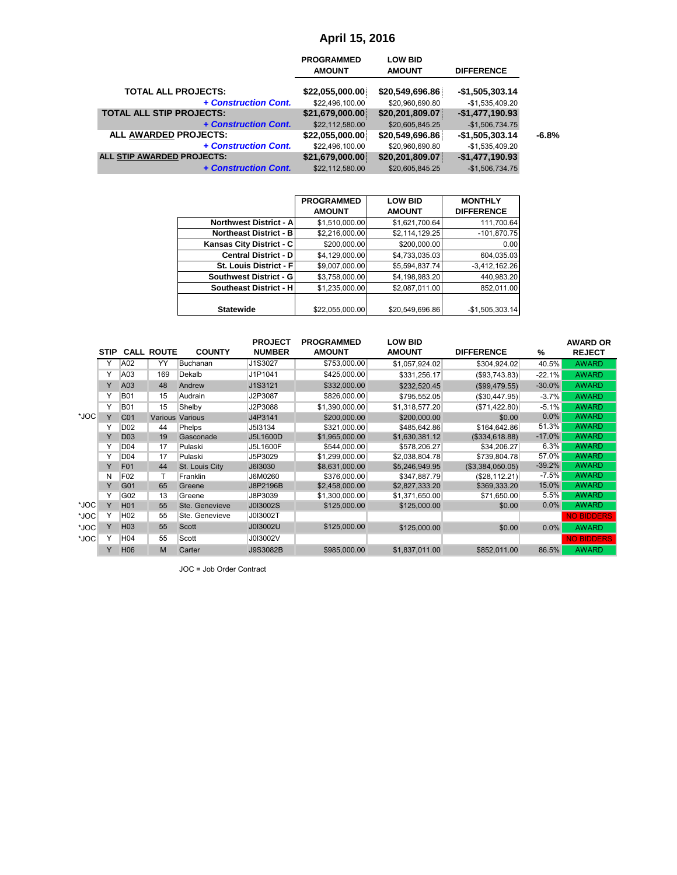|                                 | <b>PROGRAMMED</b><br><b>AMOUNT</b> | <b>LOW BID</b><br><b>AMOUNT</b> | <b>DIFFERENCE</b> |         |
|---------------------------------|------------------------------------|---------------------------------|-------------------|---------|
| <b>TOTAL ALL PROJECTS:</b>      | \$22,055,000.00                    | \$20,549,696.86                 | $-$1,505,303.14$  |         |
| + Construction Cont.            | \$22,496,100.00                    | \$20,960,690.80                 | $-$1,535,409.20$  |         |
| <b>TOTAL ALL STIP PROJECTS:</b> | \$21,679,000.00                    | \$20,201,809.07                 | $-$1,477,190.93$  |         |
| + Construction Cont.            | \$22,112,580.00                    | \$20,605,845.25                 | $-$1,506,734.75$  |         |
| ALL AWARDED PROJECTS:           | \$22,055,000.00                    | \$20,549,696.86                 | $-$1,505,303.14$  | $-6.8%$ |
| + Construction Cont.            | \$22,496,100.00                    | \$20,960,690.80                 | $-$1,535,409.20$  |         |
| ALL STIP AWARDED PROJECTS:      | \$21,679,000.00                    | \$20,201,809.07                 | $-$1,477,190.93$  |         |
| + Construction Cont.            | \$22,112,580.00                    | \$20,605,845.25                 | $-$1,506,734.75$  |         |

|                               | <b>PROGRAMMED</b> | <b>LOW BID</b>  | <b>MONTHLY</b>    |
|-------------------------------|-------------------|-----------------|-------------------|
|                               | <b>AMOUNT</b>     | <b>AMOUNT</b>   | <b>DIFFERENCE</b> |
| <b>Northwest District - A</b> | \$1,510,000.00    | \$1,621,700.64  | 111,700.64        |
| <b>Northeast District - B</b> | \$2,216,000.00    | \$2,114,129.25  | $-101,870.75$     |
| Kansas City District - C      | \$200,000.00      | \$200,000.00    | 0.00              |
| <b>Central District - DI</b>  | \$4,129,000.00    | \$4,733,035.03  | 604,035.03        |
| St. Louis District - Fl       | \$9,007,000.00    | \$5,594,837.74  | $-3,412,162.26$   |
| Southwest District - G        | \$3,758,000.00    | \$4,198,983.20  | 440,983.20        |
| <b>Southeast District - H</b> | \$1,235,000.00    | \$2,087,011.00  | 852.011.00        |
|                               |                   |                 |                   |
| <b>Statewide</b>              | \$22,055,000.00   | \$20,549,696.86 | $-$1,505,303.14$  |

|      |        |                 |                    |                                 |                                 | <b>April 15, 2016</b>              |                                    |                                     |                   |                                  |
|------|--------|-----------------|--------------------|---------------------------------|---------------------------------|------------------------------------|------------------------------------|-------------------------------------|-------------------|----------------------------------|
|      |        |                 |                    |                                 |                                 | <b>PROGRAMMED</b><br><b>AMOUNT</b> | <b>LOW BID</b><br><b>AMOUNT</b>    | <b>DIFFERENCE</b>                   |                   |                                  |
|      |        |                 |                    | <b>TOTAL ALL PROJECTS:</b>      | + Construction Cont.            | \$22,055,000.00<br>\$22,496,100.00 | \$20,549,696.86<br>\$20,960,690.80 | $-$1,505,303.14$<br>-\$1,535,409.20 |                   |                                  |
|      |        |                 |                    | <b>TOTAL ALL STIP PROJECTS:</b> |                                 | \$21,679,000.00                    | \$20,201,809.07                    | $-$1,477,190.93$                    |                   |                                  |
|      |        |                 |                    |                                 | + Construction Cont.            | \$22,112,580.00                    | \$20,605,845.25                    | $-$1,506,734.75$                    |                   |                                  |
|      |        |                 |                    | ALL AWARDED PROJECTS:           |                                 | \$22,055,000.00                    | \$20,549,696.86                    | -\$1,505,303.14                     | $-6.8%$           |                                  |
|      |        |                 |                    |                                 | + Construction Cont.            | \$22,496,100.00                    | \$20,960,690.80                    | -\$1,535,409.20                     |                   |                                  |
|      |        |                 |                    | ALL STIP AWARDED PROJECTS:      |                                 | \$21,679,000.00                    | \$20,201,809.07                    | $-$1,477,190.93$                    |                   |                                  |
|      |        |                 |                    |                                 | + Construction Cont.            | \$22,112,580.00                    | \$20,605,845.25                    | $-$1,506,734.75$                    |                   |                                  |
|      |        |                 |                    |                                 |                                 |                                    |                                    |                                     |                   |                                  |
|      |        |                 |                    |                                 |                                 |                                    |                                    |                                     |                   |                                  |
|      |        |                 |                    |                                 |                                 | <b>PROGRAMMED</b>                  | <b>LOW BID</b>                     | <b>MONTHLY</b>                      |                   |                                  |
|      |        |                 |                    |                                 |                                 | <b>AMOUNT</b>                      | <b>AMOUNT</b>                      | <b>DIFFERENCE</b>                   |                   |                                  |
|      |        |                 |                    |                                 | <b>Northwest District - A</b>   | \$1,510,000.00                     | \$1,621,700.64                     | 111,700.64                          |                   |                                  |
|      |        |                 |                    |                                 | <b>Northeast District - B</b>   | \$2,216,000.00                     | \$2,114,129.25                     | $-101,870.75$                       |                   |                                  |
|      |        |                 |                    |                                 | Kansas City District - C        | \$200,000.00                       | \$200,000.00                       | 0.00                                |                   |                                  |
|      |        |                 |                    |                                 | <b>Central District - D</b>     | \$4,129,000.00                     | \$4,733,035.03                     | 604,035.03                          |                   |                                  |
|      |        |                 |                    |                                 | St. Louis District - F          | \$9,007,000.00                     | \$5,594,837.74                     | $-3,412,162.26$                     |                   |                                  |
|      |        |                 |                    |                                 | <b>Southwest District - G</b>   | \$3,758,000.00                     | \$4,198,983.20                     | 440,983.20                          |                   |                                  |
|      |        |                 |                    |                                 | <b>Southeast District - H</b>   | \$1,235,000.00                     | \$2,087,011.00                     | 852,011.00                          |                   |                                  |
|      |        |                 |                    | <b>Statewide</b>                |                                 | \$22,055,000.00                    | \$20,549,696.86                    | -\$1,505,303.14                     |                   |                                  |
|      |        |                 | STIP CALL ROUTE    | <b>COUNTY</b>                   | <b>PROJECT</b><br><b>NUMBER</b> | <b>PROGRAMMED</b><br><b>AMOUNT</b> | <b>LOW BID</b><br><b>AMOUNT</b>    | <b>DIFFERENCE</b>                   | %                 | <b>AWARD OR</b><br><b>REJECT</b> |
|      | Y      | A02             | YY                 | Buchanan                        | J1S3027                         | \$753,000.00                       | \$1,057,924.02                     | \$304,924.02                        | 40.5%             | <b>AWARD</b>                     |
|      | Y      | A03             | 169                | Dekalb                          | J1P1041                         | \$425,000.00                       | \$331,256.17                       | (\$93,743.83)                       | $-22.1%$          | <b>AWARD</b>                     |
|      | Y      | A03             | 48                 | Andrew                          | J1S3121                         | \$332,000.00                       | \$232,520.45                       | (\$99,479.55)                       | $-30.0%$          | <b>AWARD</b>                     |
|      | Y      | <b>B01</b>      | 15                 | Audrain                         | J2P3087                         | \$826,000.00                       | \$795,552.05                       | (\$30,447.95)                       | $-3.7%$           | <b>AWARD</b>                     |
|      | Y      | <b>B01</b>      | 15                 | Shelby                          | J2P3088                         | \$1,390,000.00                     | \$1,318,577.20                     | (\$71,422.80)                       | $-5.1%$           | <b>AWARD</b>                     |
| *JOC | Y      | C01             |                    | Various Various                 | J4P3141                         | \$200,000.00                       | \$200,000.00                       | \$0.00                              | 0.0%              | <b>AWARD</b>                     |
|      | Y      | D <sub>02</sub> | 44                 | Phelps                          | J5I3134                         | \$321,000.00                       | \$485,642.86                       | \$164,642.86                        | 51.3%             | <b>AWARD</b>                     |
|      | Υ      | D <sub>03</sub> | 19                 | Gasconade                       | J5L1600D                        | \$1,965,000.00                     | \$1,630,381.12                     | (\$334,618.88)                      | $-17.0%$          | <b>AWARD</b>                     |
|      | Y      | D <sub>04</sub> | 17                 | Pulaski                         | J5L1600F                        | \$544,000.00                       | \$578,206.27                       | \$34,206.27                         | 6.3%              | <b>AWARD</b>                     |
|      | Y      | D <sub>04</sub> | 17                 | Pulaski                         | J5P3029                         | \$1,299,000.00                     | \$2,038,804.78                     | \$739,804.78                        | 57.0%<br>$-39.2%$ | <b>AWARD</b><br><b>AWARD</b>     |
|      | Υ<br>N | F01<br>F02      | 44<br>$\mathsf{T}$ | St. Louis City<br>Franklin      | J6I3030                         | \$8,631,000.00                     | \$5,246,949.95                     | (\$3,384,050.05)                    | $-7.5%$           | <b>AWARD</b>                     |
|      | Y      | G01             | 65                 | Greene                          | J6M0260<br>J8P2196B             | \$376,000.00<br>\$2,458,000.00     | \$347,887.79<br>\$2,827,333.20     | (\$28,112.21)<br>\$369,333.20       | 15.0%             | <b>AWARD</b>                     |
|      | Y      | G02             | 13                 | Greene                          | J8P3039                         | \$1,300,000.00                     | \$1,371,650.00                     | \$71,650.00                         | 5.5%              | <b>AWARD</b>                     |
| *JOC | Υ      | H <sub>01</sub> | 55                 | Ste. Genevieve                  | J0I3002S                        | \$125,000.00                       | \$125,000.00                       | \$0.00                              | 0.0%              | <b>AWARD</b>                     |
| *JOC | Y      | H <sub>02</sub> | 55                 | Ste. Genevieve                  | J0I3002T                        |                                    |                                    |                                     |                   | <b>NO BIDDERS</b>                |
| *JOC | Y      | H <sub>03</sub> | 55                 | Scott                           | J0I3002U                        | \$125,000.00                       | \$125,000.00                       | \$0.00                              | 0.0%              | <b>AWARD</b>                     |
| *JOC | Y      | H <sub>04</sub> | 55                 | Scott                           | J0I3002V                        |                                    |                                    |                                     |                   | <b>NO BIDDERS</b>                |
|      | Y.     | H06             | M                  | Carter                          | J9S3082B                        | \$985,000.00                       | \$1,837,011.00                     | \$852,011.00                        | 86.5%             | <b>AWARD</b>                     |
|      |        |                 |                    | JOC = Job Order Contract        |                                 |                                    |                                    |                                     |                   |                                  |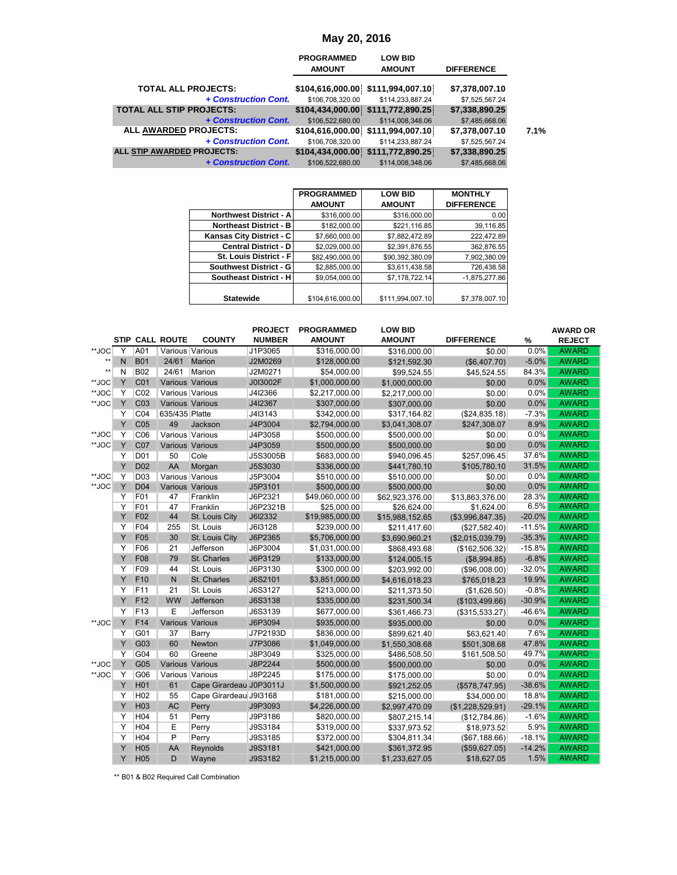|                                 | <b>PROGRAMMED</b><br><b>AMOUNT</b> | <b>LOW BID</b><br><b>AMOUNT</b>     | <b>DIFFERENCE</b> |  |
|---------------------------------|------------------------------------|-------------------------------------|-------------------|--|
| <b>TOTAL ALL PROJECTS:</b>      |                                    | \$104,616,000.00 \$111,994,007.10   | \$7,378,007.10    |  |
| + Construction Cont.            | \$106,708,320.00                   | \$114,233,887.24                    | \$7,525,567.24    |  |
| <b>TOTAL ALL STIP PROJECTS:</b> |                                    | \$104,434,000.00 \$111,772,890.25   | \$7,338,890.25    |  |
| + Construction Cont.            | \$106,522,680.00                   | \$114,008,348.06                    | \$7,485,668.06    |  |
| <b>ALL AWARDED PROJECTS:</b>    |                                    | \$104,616,000.00 \$111,994,007.10   | \$7,378,007.10    |  |
| + Construction Cont.            | \$106,708,320.00                   | \$114,233,887.24                    | \$7,525,567.24    |  |
| ALL STIP AWARDED PROJECTS:      |                                    | $$104,434,000.00$ $$111,772,890.25$ | \$7,338,890.25    |  |
| + Construction Cont.            | \$106.522.680.00                   | \$114,008,348.06                    | \$7,485,668.06    |  |

|                               | <b>PROGRAMMED</b> | <b>LOW BID</b>   | <b>MONTHLY</b>    |
|-------------------------------|-------------------|------------------|-------------------|
|                               | <b>AMOUNT</b>     | <b>AMOUNT</b>    | <b>DIFFERENCE</b> |
| <b>Northwest District - A</b> | \$316,000.00      | \$316,000.00     | 0.00              |
| <b>Northeast District - B</b> | \$182,000.00      | \$221,116.85     | 39,116.85         |
| Kansas City District - C      | \$7,660,000.00    | \$7,882,472.89   | 222,472.89        |
| <b>Central District - D</b>   | \$2,029,000.00    | \$2,391,876.55   | 362.876.55        |
| St. Louis District - Fl       | \$82,490,000.00   | \$90,392,380.09  | 7,902,380.09      |
| Southwest District - G        | \$2,885,000.00    | \$3,611,438.58   | 726,438.58        |
| Southeast District - H        | \$9.054.000.00    | \$7.178.722.14   | $-1.875.277.86$   |
|                               |                   |                  |                   |
| <b>Statewide</b>              | \$104,616,000.00  | \$111,994,007.10 | \$7,378,007.10    |

|                |        |                                    |                                    |                                                    |                               | May 20, 2016                       |                                                       |                                     |                      |                              |
|----------------|--------|------------------------------------|------------------------------------|----------------------------------------------------|-------------------------------|------------------------------------|-------------------------------------------------------|-------------------------------------|----------------------|------------------------------|
|                |        |                                    |                                    |                                                    |                               | <b>PROGRAMMED</b><br><b>AMOUNT</b> | <b>LOW BID</b><br><b>AMOUNT</b>                       | <b>DIFFERENCE</b>                   |                      |                              |
|                |        |                                    |                                    | <b>TOTAL ALL PROJECTS:</b>                         | + Construction Cont.          | \$106,708,320.00                   | \$104,616,000.00 \$111,994,007.10<br>\$114,233,887.24 | \$7,378,007.10<br>\$7,525,567.24    |                      |                              |
|                |        |                                    |                                    | <b>TOTAL ALL STIP PROJECTS:</b>                    | + Construction Cont.          | \$106,522,680.00                   | \$114,008,348.06                                      | \$7,338,890.25<br>\$7,485,668.06    |                      |                              |
|                |        |                                    |                                    | ALL AWARDED PROJECTS:                              |                               |                                    | \$104,616,000.00 \$111,994,007.10                     | \$7,378,007.10                      | 7.1%                 |                              |
|                |        |                                    |                                    | + Construction Cont.<br>ALL STIP AWARDED PROJECTS: |                               | \$106,708,320.00                   | \$114,233,887.24<br>\$104,434,000.00 \$111,772,890.25 | \$7,525,567.24<br>\$7,338,890.25    |                      |                              |
|                |        |                                    |                                    |                                                    | + Construction Cont.          | \$106,522,680.00                   | \$114,008,348.06                                      | \$7,485,668.06                      |                      |                              |
|                |        |                                    |                                    |                                                    |                               |                                    |                                                       |                                     |                      |                              |
|                |        |                                    |                                    |                                                    |                               | <b>PROGRAMMED</b><br><b>AMOUNT</b> | <b>LOW BID</b><br><b>AMOUNT</b>                       | <b>MONTHLY</b><br><b>DIFFERENCE</b> |                      |                              |
|                |        |                                    |                                    |                                                    | Northwest District - A        | \$316,000.00                       | \$316,000.00                                          | 0.00                                |                      |                              |
|                |        |                                    |                                    |                                                    | <b>Northeast District - B</b> | \$182,000.00                       | \$221,116.85                                          | 39,116.85                           |                      |                              |
|                |        |                                    |                                    | Kansas City District - C                           | <b>Central District - D</b>   | \$7,660,000.00<br>\$2,029,000.00   | \$7,882,472.89<br>\$2,391,876.55                      | 222,472.89<br>362,876.55            |                      |                              |
|                |        |                                    |                                    |                                                    | St. Louis District - F        | \$82,490,000.00                    | \$90,392,380.09                                       | 7,902,380.09                        |                      |                              |
|                |        |                                    |                                    |                                                    | <b>Southwest District - G</b> | \$2,885,000.00                     | \$3,611,438.58                                        | 726,438.58                          |                      |                              |
|                |        |                                    |                                    |                                                    | <b>Southeast District - H</b> | \$9,054,000.00                     | \$7,178,722.14                                        | $-1,875,277.86$                     |                      |                              |
|                |        |                                    |                                    | <b>Statewide</b>                                   |                               | \$104,616,000.00                   | \$111,994,007.10                                      | \$7,378,007.10                      |                      |                              |
|                |        |                                    |                                    |                                                    | <b>PROJECT</b>                | <b>PROGRAMMED</b>                  | <b>LOW BID</b>                                        |                                     |                      | <b>AWARD OR</b>              |
|                |        |                                    | STIP CALL ROUTE                    | <b>COUNTY</b>                                      | <b>NUMBER</b>                 | <b>AMOUNT</b>                      | <b>AMOUNT</b>                                         | <b>DIFFERENCE</b>                   | %                    | <b>REJECT</b>                |
| **JOC<br>$**$  | Y<br>N | A01<br><b>B01</b>                  | 24/61                              | Various Various<br>Marion                          | J1P3065<br>J2M0269            | \$316,000.00<br>\$128,000.00       | \$316,000.00                                          | \$0.00                              | 0.0%<br>$-5.0%$      | <b>AWARD</b><br><b>AWARD</b> |
| $**$           | N      | <b>B02</b>                         |                                    | 24/61 Marion                                       | J2M0271                       | \$54,000.00                        | \$121,592.30<br>\$99,524.55                           | (\$6,407.70)<br>\$45,524.55         | 84.3%                | <b>AWARD</b>                 |
| **JOC          | Υ      | CO <sub>1</sub>                    | <b>Various Various</b>             |                                                    | J0I3002F                      | \$1,000,000.00                     | \$1,000,000.00                                        | \$0.00                              | 0.0%                 | <b>AWARD</b>                 |
| **JOC          | Y      | CO <sub>2</sub>                    | Various Various                    |                                                    | J4I2366                       | \$2,217,000.00                     | \$2,217,000.00                                        | \$0.00                              | $0.0\%$              | <b>AWARD</b>                 |
| **JOC          | Y      | C <sub>03</sub>                    | Various Various                    |                                                    | J4I2367                       | \$307,000.00                       | \$307,000.00                                          | \$0.00                              | 0.0%                 | <b>AWARD</b>                 |
|                | Y<br>Υ | CO <sub>4</sub>                    | 635/435 Platte<br>49               |                                                    | J413143                       | \$342,000.00                       | \$317,164.82                                          | (\$24,835.18)<br>\$247,308.07       | $-7.3%$<br>8.9%      | <b>AWARD</b><br><b>AWARD</b> |
| **JOC          | Y      | C <sub>05</sub><br>C06             | Various Various                    | Jackson                                            | J4P3004<br>J4P3058            | \$2,794,000.00<br>\$500,000.00     | \$3,041,308.07<br>\$500,000.00                        | \$0.00                              | $0.0\%$              | <b>AWARD</b>                 |
| **JOC          | Y      | CO <sub>7</sub>                    | Various Various                    |                                                    | J4P3059                       | \$500,000.00                       | \$500,000.00                                          | \$0.00                              | 0.0%                 | <b>AWARD</b>                 |
|                | Y      | D <sub>0</sub> 1                   | 50                                 | Cole                                               | J5S3005B                      | \$683,000.00                       | \$940,096.45                                          | \$257,096.45                        | 37.6%                | <b>AWARD</b>                 |
|                | Y      | D <sub>02</sub>                    | AA                                 | Morgan                                             | J5S3030                       | \$336,000.00                       | \$441,780.10                                          | \$105,780.10                        | 31.5%                | <b>AWARD</b>                 |
| **JOC<br>**JOC | Y<br>Υ | D <sub>03</sub><br>D <sub>04</sub> | Various Various<br>Various Various |                                                    | J5P3004<br>J5P3101            | \$510,000.00<br>\$500,000.00       | \$510,000.00<br>\$500,000.00                          | \$0.00<br>\$0.00                    | 0.0%<br>0.0%         | <b>AWARD</b><br><b>AWARD</b> |
|                | Y      | F01                                | 47                                 | Franklin                                           | J6P2321                       | \$49,060,000.00                    | \$62,923,376.00                                       | \$13,863,376.00                     | 28.3%                | <b>AWARD</b>                 |
|                | Y      | F01                                | 47                                 | Franklin                                           | J6P2321B                      | \$25,000.00                        | \$26,624.00                                           | \$1,624.00                          | 6.5%                 | <b>AWARD</b>                 |
|                | Y      | F <sub>02</sub>                    | 44                                 | St. Louis City                                     | J6I2332                       | \$19,985,000.00                    | \$15,988,152.65                                       | (\$3,996,847.35)                    | $-20.0%$             | <b>AWARD</b>                 |
|                | Y<br>Υ | F04<br>F <sub>05</sub>             | 255<br>30                          | St. Louis<br>St. Louis City                        | J6I3128<br>J6P2365            | \$239,000.00<br>\$5,706,000.00     | \$211,417.60<br>\$3,690,960.21                        | (\$27,582.40)<br>(\$2,015,039.79)   | $-11.5%$<br>$-35.3%$ | <b>AWARD</b><br><b>AWARD</b> |
|                | Υ      | F06                                | 21                                 | Jefferson                                          | J6P3004                       | \$1,031,000.00                     | \$868,493.68                                          | (\$162,506.32)                      | $-15.8%$             | <b>AWARD</b>                 |
|                | Υ      | F08                                | 79                                 | St. Charles                                        | J6P3129                       | \$133,000.00                       | \$124,005.15                                          | (\$8,994.85)                        | $-6.8%$              | <b>AWARD</b>                 |
|                | Y      | F09                                | 44                                 | St. Louis                                          | J6P3130                       | \$300,000.00                       | \$203,992.00                                          | (\$96,008.00)                       | $-32.0%$             | <b>AWARD</b>                 |
|                | Υ      | F10                                | N                                  | St. Charles                                        | J6S2101                       | \$3,851,000.00                     | \$4,616,018.23                                        | \$765,018.23                        | 19.9%<br>$-0.8%$     | <b>AWARD</b><br><b>AWARD</b> |
|                | Y<br>Υ | F11<br>F <sub>12</sub>             | 21<br>WW                           | St. Louis<br>Jefferson                             | J6S3127<br>J6S3138            | \$213,000.00<br>\$335,000.00       | \$211,373.50<br>\$231,500.34                          | (\$1,626.50)<br>(\$103,499.66)      | $-30.9%$             | <b>AWARD</b>                 |
|                | Υ      | F <sub>13</sub>                    | E                                  | Jefferson                                          | J6S3139                       | \$677,000.00                       | \$361,466.73                                          | (\$315,533.27)                      | $-46.6%$             | <b>AWARD</b>                 |
| **JOC          | Υ      | F14                                |                                    | Various Various                                    | J6P3094                       | \$935,000.00                       | \$935,000.00                                          | \$0.00                              | 0.0%                 | <b>AWARD</b>                 |
|                | Y      | G01                                | 37                                 | Barry                                              | J7P2193D                      | \$836,000.00                       | \$899,621.40                                          | \$63,621.40                         | 7.6%                 | <b>AWARD</b>                 |
|                | Υ      | G03                                | 60                                 | Newton                                             | J7P3086                       | \$1,049,000.00                     | \$1,550,308.68                                        | \$501,308.68                        | 47.8%                | <b>AWARD</b>                 |
| **JOC          | Y<br>Y | G04<br>G05                         | 60<br>Various Various              | Greene                                             | J8P3049<br>J8P2244            | \$325,000.00<br>\$500,000.00       | \$486,508.50                                          | \$161,508.50                        | 49.7%<br>$0.0\%$     | AWARD<br><b>AWARD</b>        |
| **JOC          | Υ      | G06                                | Various Various                    |                                                    | J8P2245                       | \$175,000.00                       | \$500,000.00<br>\$175,000.00                          | \$0.00<br>\$0.00                    | 0.0%                 | <b>AWARD</b>                 |
|                | Υ      | H <sub>01</sub>                    | 61                                 | Cape Girardeau J0P3011J                            |                               | \$1,500,000.00                     | \$921,252.05                                          | (\$578,747.95)                      | $-38.6%$             | <b>AWARD</b>                 |
|                | Y      | H <sub>02</sub>                    | 55                                 | Cape Girardeau J9I3168                             |                               | \$181,000.00                       | \$215,000.00                                          | \$34,000.00                         | 18.8%                | <b>AWARD</b>                 |
|                | Y      | H <sub>0</sub> 3                   | AC                                 | Perry                                              | J9P3093                       | \$4,226,000.00                     | \$2,997,470.09                                        | (\$1,228,529.91)                    | $-29.1%$             | <b>AWARD</b>                 |
|                | Y      | H <sub>04</sub>                    | 51                                 | Perry                                              | J9P3186                       | \$820,000.00                       | \$807,215.14                                          | (\$12,784.86)                       | $-1.6%$              | <b>AWARD</b>                 |
|                | Υ<br>Υ | H <sub>04</sub><br>H <sub>04</sub> | Ε<br>P                             | Perry<br>Perry                                     | J9S3184<br>J9S3185            | \$319,000.00<br>\$372,000.00       | \$337,973.52                                          | \$18,973.52                         | 5.9%<br>$-18.1%$     | <b>AWARD</b><br><b>AWARD</b> |
|                | Υ      | H <sub>05</sub>                    | AA                                 | Reynolds                                           | J9S3181                       | \$421,000.00                       | \$304,811.34<br>\$361,372.95                          | (\$67,188.66)<br>(\$59,627.05)      | $-14.2%$             | <b>AWARD</b>                 |
|                | Y      | H <sub>05</sub>                    | D                                  | Wayne                                              | J9S3182                       | \$1,215,000.00                     | \$1,233,627.05                                        | \$18,627.05                         | 1.5%                 | <b>AWARD</b>                 |
|                |        |                                    |                                    | ** B01 & B02 Required Call Combination             |                               |                                    |                                                       |                                     |                      |                              |

\*\* B01 & B02 Required Call Combination